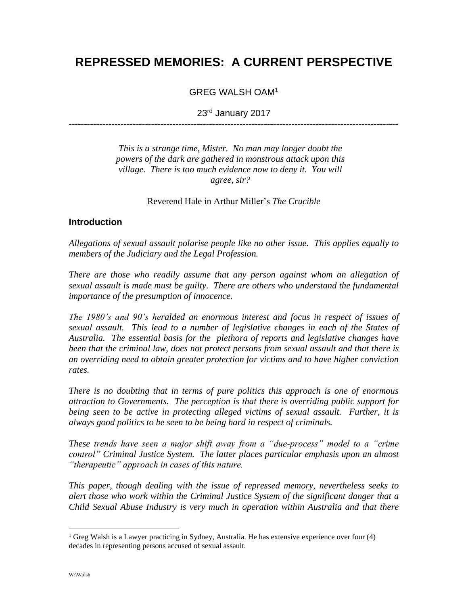# **REPRESSED MEMORIES: A CURRENT PERSPECTIVE**

GREG WALSH OAM<sup>1</sup>

23rd January 2017 ------------------------------------------------------------------------------------------------------------

> *This is a strange time, Mister. No man may longer doubt the powers of the dark are gathered in monstrous attack upon this village. There is too much evidence now to deny it. You will*

*agree, sir?*

Reverend Hale in Arthur Miller's *The Crucible*

#### **Introduction**

*Allegations of sexual assault polarise people like no other issue. This applies equally to members of the Judiciary and the Legal Profession.*

*There are those who readily assume that any person against whom an allegation of sexual assault is made must be guilty. There are others who understand the fundamental importance of the presumption of innocence.*

*The 1980's and 90's heralded an enormous interest and focus in respect of issues of sexual assault. This lead to a number of legislative changes in each of the States of Australia. The essential basis for the plethora of reports and legislative changes have been that the criminal law, does not protect persons from sexual assault and that there is an overriding need to obtain greater protection for victims and to have higher conviction rates.*

*There is no doubting that in terms of pure politics this approach is one of enormous attraction to Governments. The perception is that there is overriding public support for being seen to be active in protecting alleged victims of sexual assault. Further, it is always good politics to be seen to be being hard in respect of criminals.*

*These trends have seen a major shift away from a "due-process" model to a "crime control" Criminal Justice System. The latter places particular emphasis upon an almost "therapeutic" approach in cases of this nature.*

*This paper, though dealing with the issue of repressed memory, nevertheless seeks to alert those who work within the Criminal Justice System of the significant danger that a Child Sexual Abuse Industry is very much in operation within Australia and that there* 

 $<sup>1</sup>$  Greg Walsh is a Lawyer practicing in Sydney, Australia. He has extensive experience over four (4)</sup> decades in representing persons accused of sexual assault.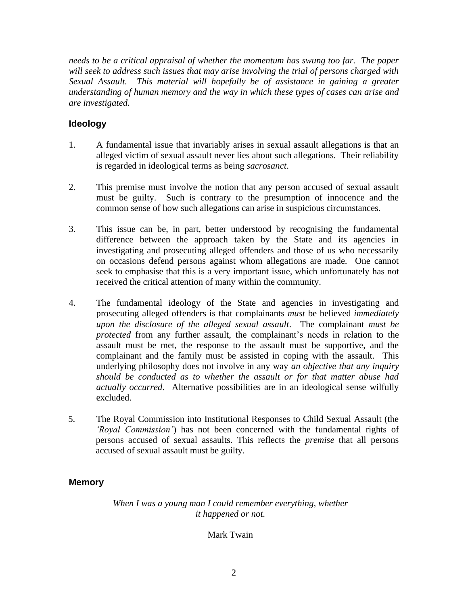*needs to be a critical appraisal of whether the momentum has swung too far. The paper will seek to address such issues that may arise involving the trial of persons charged with Sexual Assault. This material will hopefully be of assistance in gaining a greater understanding of human memory and the way in which these types of cases can arise and are investigated.*

#### **Ideology**

- 1. A fundamental issue that invariably arises in sexual assault allegations is that an alleged victim of sexual assault never lies about such allegations. Their reliability is regarded in ideological terms as being *sacrosanct*.
- 2. This premise must involve the notion that any person accused of sexual assault must be guilty. Such is contrary to the presumption of innocence and the common sense of how such allegations can arise in suspicious circumstances.
- 3. This issue can be, in part, better understood by recognising the fundamental difference between the approach taken by the State and its agencies in investigating and prosecuting alleged offenders and those of us who necessarily on occasions defend persons against whom allegations are made. One cannot seek to emphasise that this is a very important issue, which unfortunately has not received the critical attention of many within the community.
- 4. The fundamental ideology of the State and agencies in investigating and prosecuting alleged offenders is that complainants *must* be believed *immediately upon the disclosure of the alleged sexual assault*. The complainant *must be protected* from any further assault, the complainant's needs in relation to the assault must be met, the response to the assault must be supportive, and the complainant and the family must be assisted in coping with the assault. This underlying philosophy does not involve in any way *an objective that any inquiry should be conducted as to whether the assault or for that matter abuse had actually occurred*. Alternative possibilities are in an ideological sense wilfully excluded.
- 5. The Royal Commission into Institutional Responses to Child Sexual Assault (the *'Royal Commission'*) has not been concerned with the fundamental rights of persons accused of sexual assaults. This reflects the *premise* that all persons accused of sexual assault must be guilty.

# **Memory**

*When I was a young man I could remember everything, whether it happened or not.*

#### Mark Twain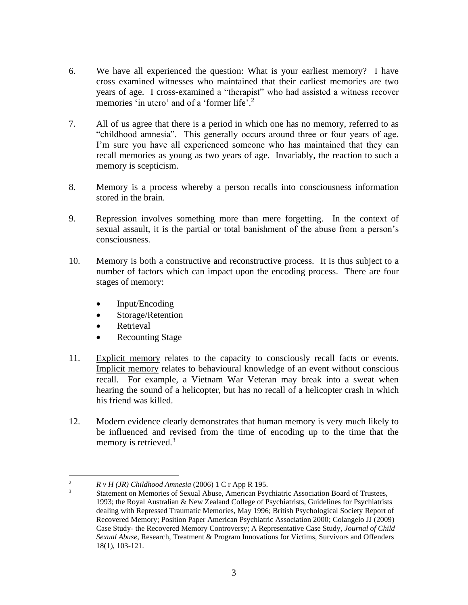- 6. We have all experienced the question: What is your earliest memory? I have cross examined witnesses who maintained that their earliest memories are two years of age. I cross-examined a "therapist" who had assisted a witness recover memories 'in utero' and of a 'former life'.<sup>2</sup>
- 7. All of us agree that there is a period in which one has no memory, referred to as "childhood amnesia". This generally occurs around three or four years of age. I'm sure you have all experienced someone who has maintained that they can recall memories as young as two years of age. Invariably, the reaction to such a memory is scepticism.
- 8. Memory is a process whereby a person recalls into consciousness information stored in the brain.
- 9. Repression involves something more than mere forgetting. In the context of sexual assault, it is the partial or total banishment of the abuse from a person's consciousness.
- 10. Memory is both a constructive and reconstructive process. It is thus subject to a number of factors which can impact upon the encoding process. There are four stages of memory:
	- Input/Encoding
	- Storage/Retention
	- Retrieval
	- **Recounting Stage**
- 11. Explicit memory relates to the capacity to consciously recall facts or events. Implicit memory relates to behavioural knowledge of an event without conscious recall. For example, a Vietnam War Veteran may break into a sweat when hearing the sound of a helicopter, but has no recall of a helicopter crash in which his friend was killed.
- 12. Modern evidence clearly demonstrates that human memory is very much likely to be influenced and revised from the time of encoding up to the time that the memory is retrieved.<sup>3</sup>

<sup>2</sup> *R v H (JR) Childhood Amnesia* (2006) 1 C r App R 195.

<sup>3</sup> Statement on Memories of Sexual Abuse, American Psychiatric Association Board of Trustees, 1993; the Royal Australian & New Zealand College of Psychiatrists, Guidelines for Psychiatrists dealing with Repressed Traumatic Memories, May 1996; British Psychological Society Report of Recovered Memory; Position Paper American Psychiatric Association 2000; Colangelo JJ (2009) Case Study- the Recovered Memory Controversy; A Representative Case Study, *Journal of Child Sexual Abuse*, Research, Treatment & Program Innovations for Victims, Survivors and Offenders 18(1), 103-121.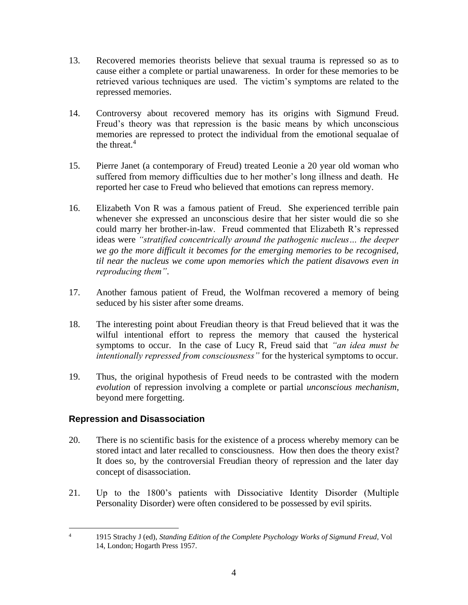- 13. Recovered memories theorists believe that sexual trauma is repressed so as to cause either a complete or partial unawareness. In order for these memories to be retrieved various techniques are used. The victim's symptoms are related to the repressed memories.
- 14. Controversy about recovered memory has its origins with Sigmund Freud. Freud's theory was that repression is the basic means by which unconscious memories are repressed to protect the individual from the emotional sequalae of the threat.<sup>4</sup>
- 15. Pierre Janet (a contemporary of Freud) treated Leonie a 20 year old woman who suffered from memory difficulties due to her mother's long illness and death. He reported her case to Freud who believed that emotions can repress memory.
- 16. Elizabeth Von R was a famous patient of Freud. She experienced terrible pain whenever she expressed an unconscious desire that her sister would die so she could marry her brother-in-law. Freud commented that Elizabeth R's repressed ideas were *"stratified concentrically around the pathogenic nucleus… the deeper we go the more difficult it becomes for the emerging memories to be recognised, til near the nucleus we come upon memories which the patient disavows even in reproducing them"*.
- 17. Another famous patient of Freud, the Wolfman recovered a memory of being seduced by his sister after some dreams.
- 18. The interesting point about Freudian theory is that Freud believed that it was the wilful intentional effort to repress the memory that caused the hysterical symptoms to occur. In the case of Lucy R, Freud said that *"an idea must be intentionally repressed from consciousness"* for the hysterical symptoms to occur.
- 19. Thus, the original hypothesis of Freud needs to be contrasted with the modern *evolution* of repression involving a complete or partial *unconscious mechanism*, beyond mere forgetting.

# **Repression and Disassociation**

- 20. There is no scientific basis for the existence of a process whereby memory can be stored intact and later recalled to consciousness. How then does the theory exist? It does so, by the controversial Freudian theory of repression and the later day concept of disassociation.
- 21. Up to the 1800's patients with Dissociative Identity Disorder (Multiple Personality Disorder) were often considered to be possessed by evil spirits.

<sup>4</sup> 1915 Strachy J (ed), *Standing Edition of the Complete Psychology Works of Sigmund Freud*, Vol 14, London; Hogarth Press 1957.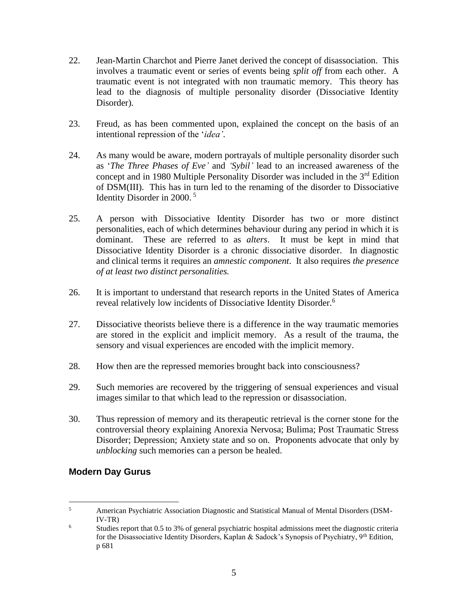- 22. Jean-Martin Charchot and Pierre Janet derived the concept of disassociation. This involves a traumatic event or series of events being *split off* from each other. A traumatic event is not integrated with non traumatic memory. This theory has lead to the diagnosis of multiple personality disorder (Dissociative Identity Disorder).
- 23. Freud, as has been commented upon, explained the concept on the basis of an intentional repression of the '*idea'*.
- 24. As many would be aware, modern portrayals of multiple personality disorder such as '*The Three Phases of Eve'* and *'Sybil'* lead to an increased awareness of the concept and in 1980 Multiple Personality Disorder was included in the  $3<sup>rd</sup>$  Edition of DSM(III). This has in turn led to the renaming of the disorder to Dissociative Identity Disorder in 2000. <sup>5</sup>
- 25. A person with Dissociative Identity Disorder has two or more distinct personalities, each of which determines behaviour during any period in which it is dominant. These are referred to as *alters*. It must be kept in mind that Dissociative Identity Disorder is a chronic dissociative disorder. In diagnostic and clinical terms it requires an *amnestic component*. It also requires *the presence of at least two distinct personalities.*
- 26. It is important to understand that research reports in the United States of America reveal relatively low incidents of Dissociative Identity Disorder.<sup>6</sup>
- 27. Dissociative theorists believe there is a difference in the way traumatic memories are stored in the explicit and implicit memory. As a result of the trauma, the sensory and visual experiences are encoded with the implicit memory.
- 28. How then are the repressed memories brought back into consciousness?
- 29. Such memories are recovered by the triggering of sensual experiences and visual images similar to that which lead to the repression or disassociation.
- 30. Thus repression of memory and its therapeutic retrieval is the corner stone for the controversial theory explaining Anorexia Nervosa; Bulima; Post Traumatic Stress Disorder; Depression; Anxiety state and so on. Proponents advocate that only by *unblocking* such memories can a person be healed.

# **Modern Day Gurus**

<sup>5</sup> American Psychiatric Association Diagnostic and Statistical Manual of Mental Disorders (DSM-IV-TR)

<sup>&</sup>lt;sup>6</sup> Studies report that 0.5 to 3% of general psychiatric hospital admissions meet the diagnostic criteria for the Disassociative Identity Disorders, Kaplan & Sadock's Synopsis of Psychiatry, 9th Edition, p 681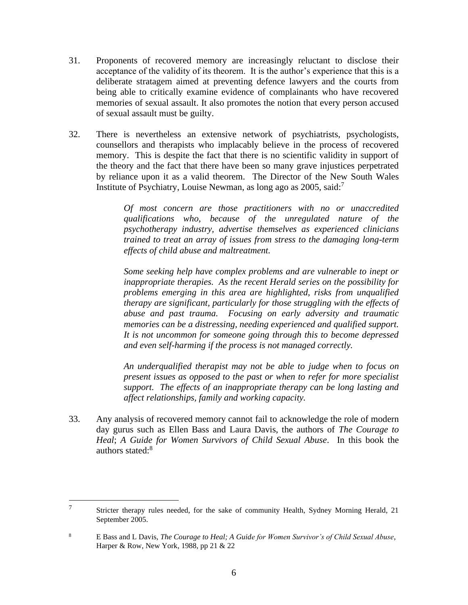- 31. Proponents of recovered memory are increasingly reluctant to disclose their acceptance of the validity of its theorem. It is the author's experience that this is a deliberate stratagem aimed at preventing defence lawyers and the courts from being able to critically examine evidence of complainants who have recovered memories of sexual assault. It also promotes the notion that every person accused of sexual assault must be guilty.
- 32. There is nevertheless an extensive network of psychiatrists, psychologists, counsellors and therapists who implacably believe in the process of recovered memory. This is despite the fact that there is no scientific validity in support of the theory and the fact that there have been so many grave injustices perpetrated by reliance upon it as a valid theorem. The Director of the New South Wales Institute of Psychiatry, Louise Newman, as long ago as 2005, said:<sup>7</sup>

*Of most concern are those practitioners with no or unaccredited qualifications who, because of the unregulated nature of the psychotherapy industry, advertise themselves as experienced clinicians trained to treat an array of issues from stress to the damaging long-term effects of child abuse and maltreatment.*

*Some seeking help have complex problems and are vulnerable to inept or inappropriate therapies. As the recent Herald series on the possibility for problems emerging in this area are highlighted, risks from unqualified therapy are significant, particularly for those struggling with the effects of abuse and past trauma. Focusing on early adversity and traumatic memories can be a distressing, needing experienced and qualified support. It is not uncommon for someone going through this to become depressed and even self-harming if the process is not managed correctly.*

*An underqualified therapist may not be able to judge when to focus on present issues as opposed to the past or when to refer for more specialist support. The effects of an inappropriate therapy can be long lasting and affect relationships, family and working capacity.*

33. Any analysis of recovered memory cannot fail to acknowledge the role of modern day gurus such as Ellen Bass and Laura Davis, the authors of *The Courage to Heal*; *A Guide for Women Survivors of Child Sexual Abuse*. In this book the authors stated: $8<sup>8</sup>$ 

<sup>7</sup> Stricter therapy rules needed, for the sake of community Health, Sydney Morning Herald, 21 September 2005.

<sup>8</sup> E Bass and L Davis, *The Courage to Heal; A Guide for Women Survivor's of Child Sexual Abuse*, Harper & Row, New York, 1988, pp 21 & 22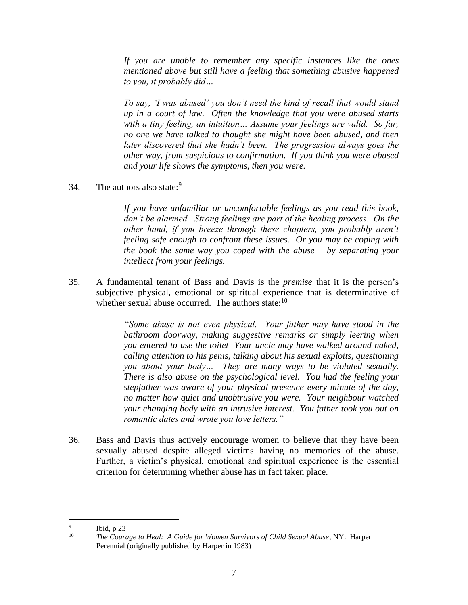*If you are unable to remember any specific instances like the ones mentioned above but still have a feeling that something abusive happened to you, it probably did…*

*To say, 'I was abused' you don't need the kind of recall that would stand up in a court of law. Often the knowledge that you were abused starts with a tiny feeling, an intuition… Assume your feelings are valid. So far, no one we have talked to thought she might have been abused, and then later discovered that she hadn't been. The progression always goes the other way, from suspicious to confirmation. If you think you were abused and your life shows the symptoms, then you were.*

34. The authors also state: $9$ 

*If you have unfamiliar or uncomfortable feelings as you read this book, don't be alarmed. Strong feelings are part of the healing process. On the other hand, if you breeze through these chapters, you probably aren't feeling safe enough to confront these issues. Or you may be coping with the book the same way you coped with the abuse – by separating your intellect from your feelings.*

35. A fundamental tenant of Bass and Davis is the *premise* that it is the person's subjective physical, emotional or spiritual experience that is determinative of whether sexual abuse occurred. The authors state:<sup>10</sup>

> *"Some abuse is not even physical. Your father may have stood in the bathroom doorway, making suggestive remarks or simply leering when you entered to use the toilet Your uncle may have walked around naked, calling attention to his penis, talking about his sexual exploits, questioning you about your body… They are many ways to be violated sexually. There is also abuse on the psychological level. You had the feeling your stepfather was aware of your physical presence every minute of the day, no matter how quiet and unobtrusive you were. Your neighbour watched your changing body with an intrusive interest. You father took you out on romantic dates and wrote you love letters."*

36. Bass and Davis thus actively encourage women to believe that they have been sexually abused despite alleged victims having no memories of the abuse. Further, a victim's physical, emotional and spiritual experience is the essential criterion for determining whether abuse has in fact taken place.

<sup>9</sup> Ibid, p 23

<sup>&</sup>lt;sup>10</sup> *The Courage to Heal: A Guide for Women Survivors of Child Sexual Abuse*, NY: Harper Perennial (originally published by Harper in 1983)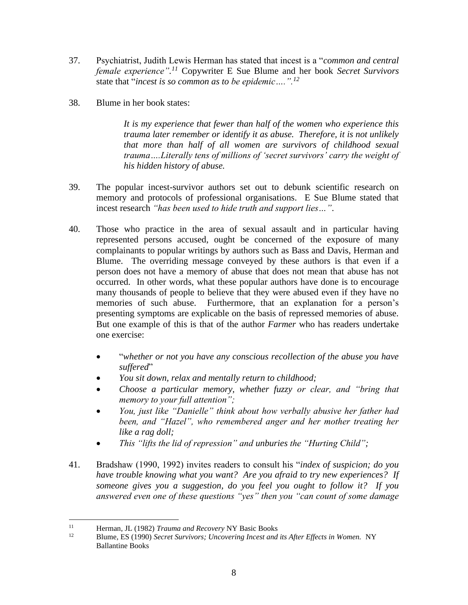- 37. Psychiatrist, Judith Lewis Herman has stated that incest is a "*common and central female experience". <sup>11</sup>* Copywriter E Sue Blume and her book *Secret Survivors* state that "*incest is so common as to be epidemic….".<sup>12</sup>*
- 38. Blume in her book states:

*It is my experience that fewer than half of the women who experience this trauma later remember or identify it as abuse. Therefore, it is not unlikely that more than half of all women are survivors of childhood sexual trauma….Literally tens of millions of 'secret survivors' carry the weight of his hidden history of abuse.*

- 39. The popular incest-survivor authors set out to debunk scientific research on memory and protocols of professional organisations. E Sue Blume stated that incest research *"has been used to hide truth and support lies…"*.
- 40. Those who practice in the area of sexual assault and in particular having represented persons accused, ought be concerned of the exposure of many complainants to popular writings by authors such as Bass and Davis, Herman and Blume. The overriding message conveyed by these authors is that even if a person does not have a memory of abuse that does not mean that abuse has not occurred. In other words, what these popular authors have done is to encourage many thousands of people to believe that they were abused even if they have no memories of such abuse. Furthermore, that an explanation for a person's presenting symptoms are explicable on the basis of repressed memories of abuse. But one example of this is that of the author *Farmer* who has readers undertake one exercise:
	- "*whether or not you have any conscious recollection of the abuse you have suffered*"
	- *You sit down, relax and mentally return to childhood;*
	- *Choose a particular memory, whether fuzzy or clear, and "bring that memory to your full attention";*
	- *You, just like "Danielle" think about how verbally abusive her father had been, and "Hazel", who remembered anger and her mother treating her like a rag doll;*
	- *This "lifts the lid of repression" and unburies the "Hurting Child";*
- 41. Bradshaw (1990, 1992) invites readers to consult his "*index of suspicion; do you have trouble knowing what you want? Are you afraid to try new experiences? If someone gives you a suggestion, do you feel you ought to follow it? If you answered even one of these questions "yes" then you "can count of some damage*

<sup>&</sup>lt;sup>11</sup> Herman, JL (1982) *Trauma and Recovery* NY Basic Books<br><sup>12</sup> Pluma, ES (1990) *Segret Suprimary Hagowring Ingest and* 

<sup>12</sup> Blume, ES (1990) *Secret Survivors; Uncovering Incest and its After Effects in Women.* NY Ballantine Books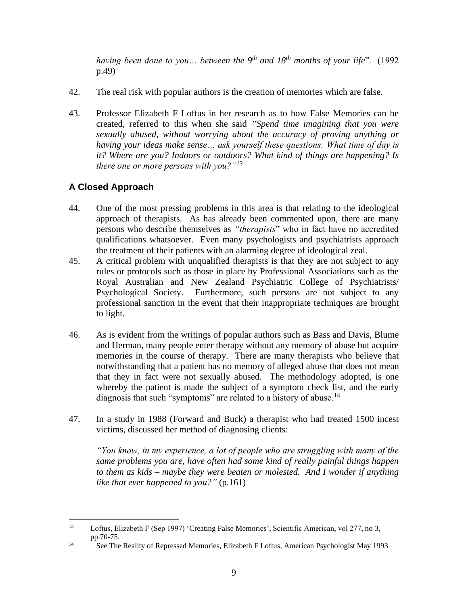*having been done to you… between the 9th and 18th months of your life*". (1992 p.49)

- 42. The real risk with popular authors is the creation of memories which are false.
- 43. Professor Elizabeth F Loftus in her research as to how False Memories can be created, referred to this when she said *"Spend time imagining that you were sexually abused, without worrying about the accuracy of proving anything or having your ideas make sense… ask yourself these questions: What time of day is it? Where are you? Indoors or outdoors? What kind of things are happening? Is there one or more persons with you?"<sup>13</sup>*

# **A Closed Approach**

- 44. One of the most pressing problems in this area is that relating to the ideological approach of therapists. As has already been commented upon, there are many persons who describe themselves as *"therapists*" who in fact have no accredited qualifications whatsoever. Even many psychologists and psychiatrists approach the treatment of their patients with an alarming degree of ideological zeal.
- 45. A critical problem with unqualified therapists is that they are not subject to any rules or protocols such as those in place by Professional Associations such as the Royal Australian and New Zealand Psychiatric College of Psychiatrists/ Psychological Society. Furthermore, such persons are not subject to any professional sanction in the event that their inappropriate techniques are brought to light.
- 46. As is evident from the writings of popular authors such as Bass and Davis, Blume and Herman, many people enter therapy without any memory of abuse but acquire memories in the course of therapy. There are many therapists who believe that notwithstanding that a patient has no memory of alleged abuse that does not mean that they in fact were not sexually abused. The methodology adopted, is one whereby the patient is made the subject of a symptom check list, and the early diagnosis that such "symptoms" are related to a history of abuse.<sup>14</sup>
- 47. In a study in 1988 (Forward and Buck) a therapist who had treated 1500 incest victims, discussed her method of diagnosing clients:

*"You know, in my experience, a lot of people who are struggling with many of the same problems you are, have often had some kind of really painful things happen to them as kids – maybe they were beaten or molested. And I wonder if anything like that ever happened to you?"* (p.161)

<sup>13</sup> Loftus, Elizabeth F (Sep 1997) 'Creating False Memories', Scientific American, vol 277, no 3, pp.70-75.

<sup>&</sup>lt;sup>14</sup> See The Reality of Repressed Memories, Elizabeth F Loftus, American Psychologist May 1993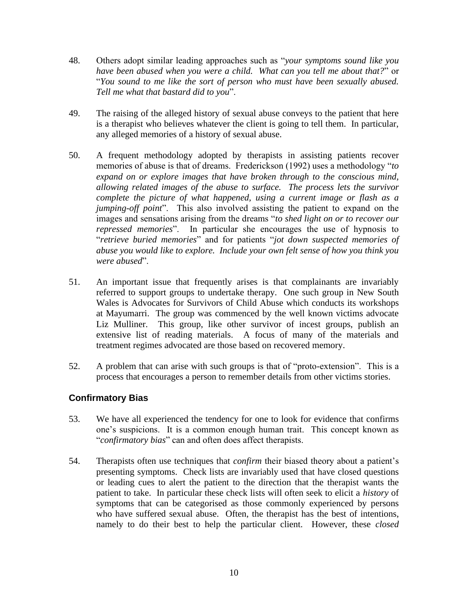- 48. Others adopt similar leading approaches such as "*your symptoms sound like you have been abused when you were a child. What can you tell me about that?*" or "*You sound to me like the sort of person who must have been sexually abused. Tell me what that bastard did to you*".
- 49. The raising of the alleged history of sexual abuse conveys to the patient that here is a therapist who believes whatever the client is going to tell them. In particular, any alleged memories of a history of sexual abuse.
- 50. A frequent methodology adopted by therapists in assisting patients recover memories of abuse is that of dreams. Frederickson (1992) uses a methodology "*to expand on or explore images that have broken through to the conscious mind, allowing related images of the abuse to surface. The process lets the survivor complete the picture of what happened, using a current image or flash as a jumping-off point*". This also involved assisting the patient to expand on the images and sensations arising from the dreams "*to shed light on or to recover our repressed memories*". In particular she encourages the use of hypnosis to "*retrieve buried memories*" and for patients "*jot down suspected memories of abuse you would like to explore. Include your own felt sense of how you think you were abused*".
- 51. An important issue that frequently arises is that complainants are invariably referred to support groups to undertake therapy. One such group in New South Wales is Advocates for Survivors of Child Abuse which conducts its workshops at Mayumarri. The group was commenced by the well known victims advocate Liz Mulliner. This group, like other survivor of incest groups, publish an extensive list of reading materials. A focus of many of the materials and treatment regimes advocated are those based on recovered memory.
- 52. A problem that can arise with such groups is that of "proto-extension". This is a process that encourages a person to remember details from other victims stories.

#### **Confirmatory Bias**

- 53. We have all experienced the tendency for one to look for evidence that confirms one's suspicions. It is a common enough human trait. This concept known as "*confirmatory bias*" can and often does affect therapists.
- 54. Therapists often use techniques that *confirm* their biased theory about a patient's presenting symptoms. Check lists are invariably used that have closed questions or leading cues to alert the patient to the direction that the therapist wants the patient to take. In particular these check lists will often seek to elicit a *history* of symptoms that can be categorised as those commonly experienced by persons who have suffered sexual abuse. Often, the therapist has the best of intentions, namely to do their best to help the particular client. However, these *closed*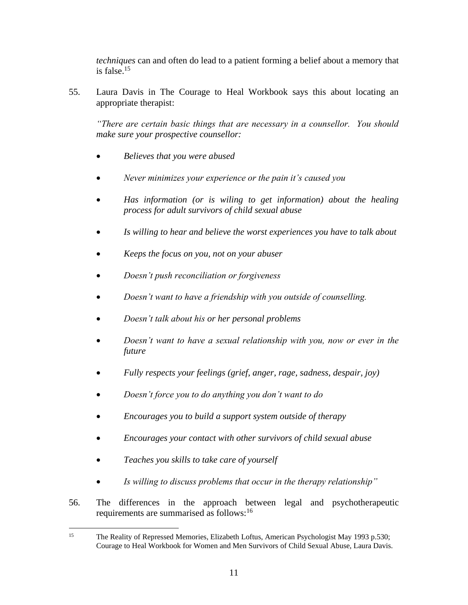*techniques* can and often do lead to a patient forming a belief about a memory that is false. $15$ 

55. Laura Davis in The Courage to Heal Workbook says this about locating an appropriate therapist:

*"There are certain basic things that are necessary in a counsellor. You should make sure your prospective counsellor:*

- *Believes that you were abused*
- *Never minimizes your experience or the pain it's caused you*
- *Has information (or is wiling to get information) about the healing process for adult survivors of child sexual abuse*
- *Is willing to hear and believe the worst experiences you have to talk about*
- *Keeps the focus on you, not on your abuser*
- *Doesn't push reconciliation or forgiveness*
- *Doesn't want to have a friendship with you outside of counselling.*
- *Doesn't talk about his or her personal problems*
- *Doesn't want to have a sexual relationship with you, now or ever in the future*
- *Fully respects your feelings (grief, anger, rage, sadness, despair, joy)*
- *Doesn't force you to do anything you don't want to do*
- *Encourages you to build a support system outside of therapy*
- *Encourages your contact with other survivors of child sexual abuse*
- *Teaches you skills to take care of yourself*
- *Is willing to discuss problems that occur in the therapy relationship"*
- 56. The differences in the approach between legal and psychotherapeutic requirements are summarised as follows:<sup>16</sup>

<sup>&</sup>lt;sup>15</sup> The Reality of Repressed Memories, Elizabeth Loftus, American Psychologist May 1993 p.530; Courage to Heal Workbook for Women and Men Survivors of Child Sexual Abuse, Laura Davis.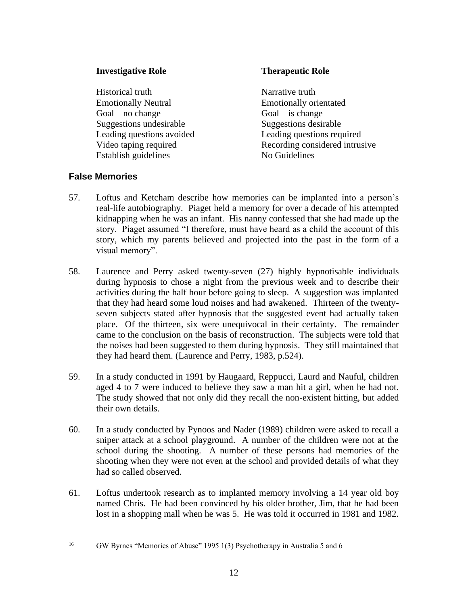#### **Investigative Role Therapeutic Role**

Historical truth Narrative truth Emotionally Neutral Emotionally orientated  $Goal - no change$   $Goal - is change$ Suggestions undesirable Suggestions desirable Establish guidelines No Guidelines

Leading questions avoided Leading questions required Video taping required Recording considered intrusive

#### **False Memories**

- 57. Loftus and Ketcham describe how memories can be implanted into a person's real-life autobiography. Piaget held a memory for over a decade of his attempted kidnapping when he was an infant. His nanny confessed that she had made up the story. Piaget assumed "I therefore, must have heard as a child the account of this story, which my parents believed and projected into the past in the form of a visual memory".
- 58. Laurence and Perry asked twenty-seven (27) highly hypnotisable individuals during hypnosis to chose a night from the previous week and to describe their activities during the half hour before going to sleep. A suggestion was implanted that they had heard some loud noises and had awakened. Thirteen of the twentyseven subjects stated after hypnosis that the suggested event had actually taken place. Of the thirteen, six were unequivocal in their certainty. The remainder came to the conclusion on the basis of reconstruction. The subjects were told that the noises had been suggested to them during hypnosis. They still maintained that they had heard them. (Laurence and Perry, 1983, p.524).
- 59. In a study conducted in 1991 by Haugaard, Reppucci, Laurd and Nauful, children aged 4 to 7 were induced to believe they saw a man hit a girl, when he had not. The study showed that not only did they recall the non-existent hitting, but added their own details.
- 60. In a study conducted by Pynoos and Nader (1989) children were asked to recall a sniper attack at a school playground. A number of the children were not at the school during the shooting. A number of these persons had memories of the shooting when they were not even at the school and provided details of what they had so called observed.
- 61. Loftus undertook research as to implanted memory involving a 14 year old boy named Chris. He had been convinced by his older brother, Jim, that he had been lost in a shopping mall when he was 5. He was told it occurred in 1981 and 1982.

<sup>&</sup>lt;sup>16</sup> GW Byrnes "Memories of Abuse" 1995 1(3) Psychotherapy in Australia 5 and 6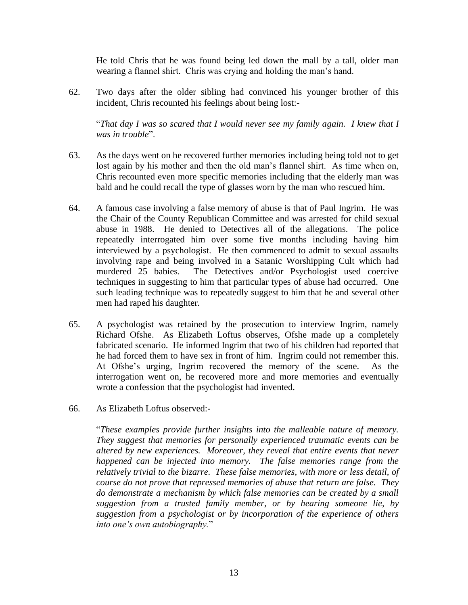He told Chris that he was found being led down the mall by a tall, older man wearing a flannel shirt. Chris was crying and holding the man's hand.

62. Two days after the older sibling had convinced his younger brother of this incident, Chris recounted his feelings about being lost:-

"*That day I was so scared that I would never see my family again. I knew that I was in trouble*".

- 63. As the days went on he recovered further memories including being told not to get lost again by his mother and then the old man's flannel shirt. As time when on, Chris recounted even more specific memories including that the elderly man was bald and he could recall the type of glasses worn by the man who rescued him.
- 64. A famous case involving a false memory of abuse is that of Paul Ingrim. He was the Chair of the County Republican Committee and was arrested for child sexual abuse in 1988. He denied to Detectives all of the allegations. The police repeatedly interrogated him over some five months including having him interviewed by a psychologist. He then commenced to admit to sexual assaults involving rape and being involved in a Satanic Worshipping Cult which had murdered 25 babies. The Detectives and/or Psychologist used coercive techniques in suggesting to him that particular types of abuse had occurred. One such leading technique was to repeatedly suggest to him that he and several other men had raped his daughter.
- 65. A psychologist was retained by the prosecution to interview Ingrim, namely Richard Ofshe. As Elizabeth Loftus observes, Ofshe made up a completely fabricated scenario. He informed Ingrim that two of his children had reported that he had forced them to have sex in front of him. Ingrim could not remember this. At Ofshe's urging, Ingrim recovered the memory of the scene. As the interrogation went on, he recovered more and more memories and eventually wrote a confession that the psychologist had invented.
- 66. As Elizabeth Loftus observed:-

"*These examples provide further insights into the malleable nature of memory. They suggest that memories for personally experienced traumatic events can be altered by new experiences. Moreover, they reveal that entire events that never happened can be injected into memory. The false memories range from the relatively trivial to the bizarre. These false memories, with more or less detail, of course do not prove that repressed memories of abuse that return are false. They do demonstrate a mechanism by which false memories can be created by a small suggestion from a trusted family member, or by hearing someone lie, by suggestion from a psychologist or by incorporation of the experience of others into one's own autobiography.*"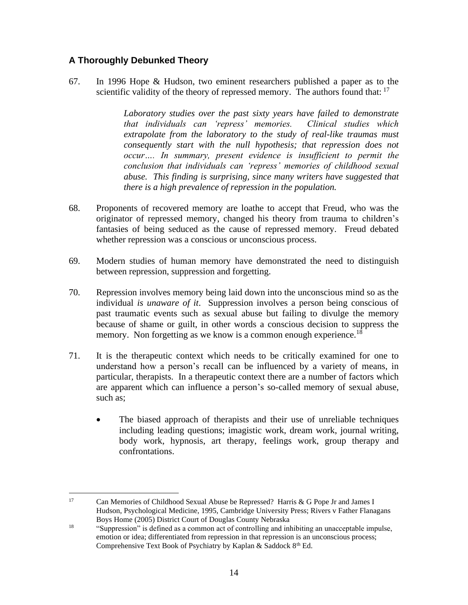#### **A Thoroughly Debunked Theory**

67. In 1996 Hope & Hudson, two eminent researchers published a paper as to the scientific validity of the theory of repressed memory. The authors found that:  $17$ 

> *Laboratory studies over the past sixty years have failed to demonstrate that individuals can 'repress' memories. Clinical studies which extrapolate from the laboratory to the study of real-like traumas must consequently start with the null hypothesis; that repression does not occur…. In summary, present evidence is insufficient to permit the conclusion that individuals can 'repress' memories of childhood sexual abuse. This finding is surprising, since many writers have suggested that there is a high prevalence of repression in the population.*

- 68. Proponents of recovered memory are loathe to accept that Freud, who was the originator of repressed memory, changed his theory from trauma to children's fantasies of being seduced as the cause of repressed memory. Freud debated whether repression was a conscious or unconscious process.
- 69. Modern studies of human memory have demonstrated the need to distinguish between repression, suppression and forgetting.
- 70. Repression involves memory being laid down into the unconscious mind so as the individual *is unaware of it*. Suppression involves a person being conscious of past traumatic events such as sexual abuse but failing to divulge the memory because of shame or guilt, in other words a conscious decision to suppress the memory. Non forgetting as we know is a common enough experience.<sup>18</sup>
- 71. It is the therapeutic context which needs to be critically examined for one to understand how a person's recall can be influenced by a variety of means, in particular, therapists. In a therapeutic context there are a number of factors which are apparent which can influence a person's so-called memory of sexual abuse, such as;
	- The biased approach of therapists and their use of unreliable techniques including leading questions; imagistic work, dream work, journal writing, body work, hypnosis, art therapy, feelings work, group therapy and confrontations.

<sup>17</sup> Can Memories of Childhood Sexual Abuse be Repressed? Harris & G Pope Jr and James I Hudson, Psychological Medicine, 1995, Cambridge University Press; Rivers v Father Flanagans Boys Home (2005) District Court of Douglas County Nebraska

<sup>&</sup>lt;sup>18</sup> "Suppression" is defined as a common act of controlling and inhibiting an unacceptable impulse, emotion or idea; differentiated from repression in that repression is an unconscious process; Comprehensive Text Book of Psychiatry by Kaplan & Saddock  $8<sup>th</sup>$  Ed.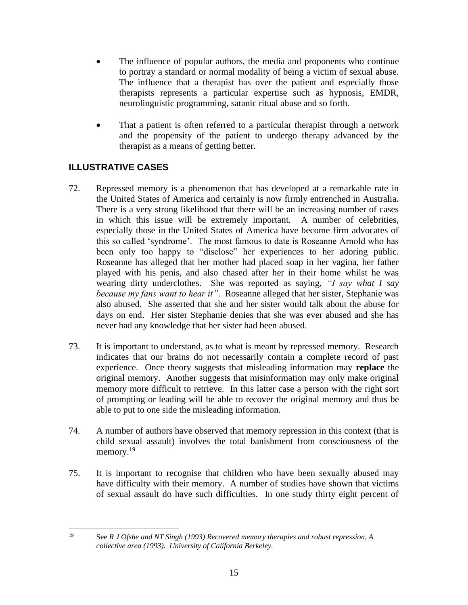- The influence of popular authors, the media and proponents who continue to portray a standard or normal modality of being a victim of sexual abuse. The influence that a therapist has over the patient and especially those therapists represents a particular expertise such as hypnosis, EMDR, neurolinguistic programming, satanic ritual abuse and so forth.
- That a patient is often referred to a particular therapist through a network and the propensity of the patient to undergo therapy advanced by the therapist as a means of getting better.

# **ILLUSTRATIVE CASES**

- 72. Repressed memory is a phenomenon that has developed at a remarkable rate in the United States of America and certainly is now firmly entrenched in Australia. There is a very strong likelihood that there will be an increasing number of cases in which this issue will be extremely important. A number of celebrities, especially those in the United States of America have become firm advocates of this so called 'syndrome'. The most famous to date is Roseanne Arnold who has been only too happy to "disclose" her experiences to her adoring public. Roseanne has alleged that her mother had placed soap in her vagina, her father played with his penis, and also chased after her in their home whilst he was wearing dirty underclothes. She was reported as saying, *"I say what I say because my fans want to hear it"*. Roseanne alleged that her sister, Stephanie was also abused. She asserted that she and her sister would talk about the abuse for days on end. Her sister Stephanie denies that she was ever abused and she has never had any knowledge that her sister had been abused.
- 73. It is important to understand, as to what is meant by repressed memory. Research indicates that our brains do not necessarily contain a complete record of past experience. Once theory suggests that misleading information may **replace** the original memory. Another suggests that misinformation may only make original memory more difficult to retrieve. In this latter case a person with the right sort of prompting or leading will be able to recover the original memory and thus be able to put to one side the misleading information.
- 74. A number of authors have observed that memory repression in this context (that is child sexual assault) involves the total banishment from consciousness of the memory.<sup>19</sup>
- 75. It is important to recognise that children who have been sexually abused may have difficulty with their memory. A number of studies have shown that victims of sexual assault do have such difficulties. In one study thirty eight percent of

<sup>19</sup> See *R J Ofshe and NT Singh (1993) Recovered memory therapies and robust repression, A collective area (1993). University of California Berkeley.*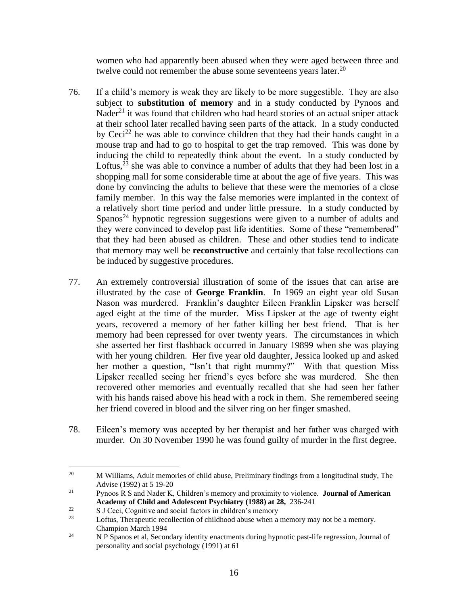women who had apparently been abused when they were aged between three and twelve could not remember the abuse some seventeens years later. $20$ 

- 76. If a child's memory is weak they are likely to be more suggestible. They are also subject to **substitution of memory** and in a study conducted by Pynoos and Nader<sup>21</sup> it was found that children who had heard stories of an actual sniper attack at their school later recalled having seen parts of the attack. In a study conducted by  $Ceci<sup>22</sup>$  he was able to convince children that they had their hands caught in a mouse trap and had to go to hospital to get the trap removed. This was done by inducing the child to repeatedly think about the event. In a study conducted by Loftus,  $23$  she was able to convince a number of adults that they had been lost in a shopping mall for some considerable time at about the age of five years. This was done by convincing the adults to believe that these were the memories of a close family member. In this way the false memories were implanted in the context of a relatively short time period and under little pressure. In a study conducted by Spanos<sup>24</sup> hypnotic regression suggestions were given to a number of adults and they were convinced to develop past life identities. Some of these "remembered" that they had been abused as children. These and other studies tend to indicate that memory may well be **reconstructive** and certainly that false recollections can be induced by suggestive procedures.
- 77. An extremely controversial illustration of some of the issues that can arise are illustrated by the case of **George Franklin**. In 1969 an eight year old Susan Nason was murdered. Franklin's daughter Eileen Franklin Lipsker was herself aged eight at the time of the murder. Miss Lipsker at the age of twenty eight years, recovered a memory of her father killing her best friend. That is her memory had been repressed for over twenty years. The circumstances in which she asserted her first flashback occurred in January 19899 when she was playing with her young children. Her five year old daughter, Jessica looked up and asked her mother a question, "Isn't that right mummy?" With that question Miss Lipsker recalled seeing her friend's eyes before she was murdered. She then recovered other memories and eventually recalled that she had seen her father with his hands raised above his head with a rock in them. She remembered seeing her friend covered in blood and the silver ring on her finger smashed.
- 78. Eileen's memory was accepted by her therapist and her father was charged with murder. On 30 November 1990 he was found guilty of murder in the first degree.

<sup>&</sup>lt;sup>20</sup> M Williams, Adult memories of child abuse, Preliminary findings from a longitudinal study, The Advise (1992) at 5 19-20

<sup>21</sup> Pynoos R S and Nader K, Children's memory and proximity to violence. **Journal of American Academy of Child and Adolescent Psychiatry (1988) at 28,** 236-241

 $^{22}$  S J Ceci, Cognitive and social factors in children's memory

Loftus, Therapeutic recollection of childhood abuse when a memory may not be a memory. Champion March 1994

<sup>&</sup>lt;sup>24</sup> N P Spanos et al, Secondary identity enactments during hypnotic past-life regression, Journal of personality and social psychology (1991) at 61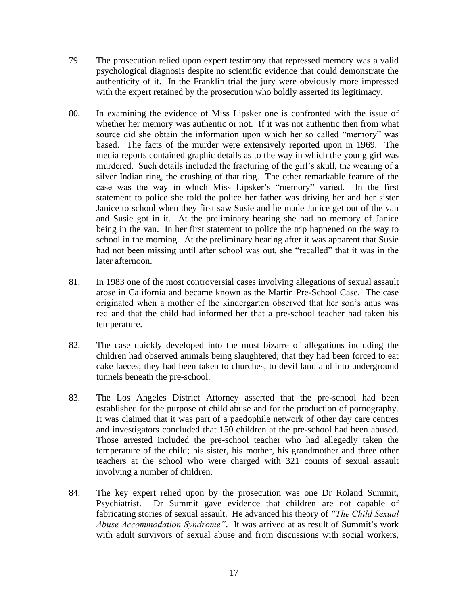- 79. The prosecution relied upon expert testimony that repressed memory was a valid psychological diagnosis despite no scientific evidence that could demonstrate the authenticity of it. In the Franklin trial the jury were obviously more impressed with the expert retained by the prosecution who boldly asserted its legitimacy.
- 80. In examining the evidence of Miss Lipsker one is confronted with the issue of whether her memory was authentic or not. If it was not authentic then from what source did she obtain the information upon which her so called "memory" was based. The facts of the murder were extensively reported upon in 1969. The media reports contained graphic details as to the way in which the young girl was murdered. Such details included the fracturing of the girl's skull, the wearing of a silver Indian ring, the crushing of that ring. The other remarkable feature of the case was the way in which Miss Lipsker's "memory" varied. In the first statement to police she told the police her father was driving her and her sister Janice to school when they first saw Susie and he made Janice get out of the van and Susie got in it. At the preliminary hearing she had no memory of Janice being in the van. In her first statement to police the trip happened on the way to school in the morning. At the preliminary hearing after it was apparent that Susie had not been missing until after school was out, she "recalled" that it was in the later afternoon.
- 81. In 1983 one of the most controversial cases involving allegations of sexual assault arose in California and became known as the Martin Pre-School Case. The case originated when a mother of the kindergarten observed that her son's anus was red and that the child had informed her that a pre-school teacher had taken his temperature.
- 82. The case quickly developed into the most bizarre of allegations including the children had observed animals being slaughtered; that they had been forced to eat cake faeces; they had been taken to churches, to devil land and into underground tunnels beneath the pre-school.
- 83. The Los Angeles District Attorney asserted that the pre-school had been established for the purpose of child abuse and for the production of pornography. It was claimed that it was part of a paedophile network of other day care centres and investigators concluded that 150 children at the pre-school had been abused. Those arrested included the pre-school teacher who had allegedly taken the temperature of the child; his sister, his mother, his grandmother and three other teachers at the school who were charged with 321 counts of sexual assault involving a number of children.
- 84. The key expert relied upon by the prosecution was one Dr Roland Summit, Psychiatrist. Dr Summit gave evidence that children are not capable of fabricating stories of sexual assault. He advanced his theory of *"The Child Sexual Abuse Accommodation Syndrome"*. It was arrived at as result of Summit's work with adult survivors of sexual abuse and from discussions with social workers,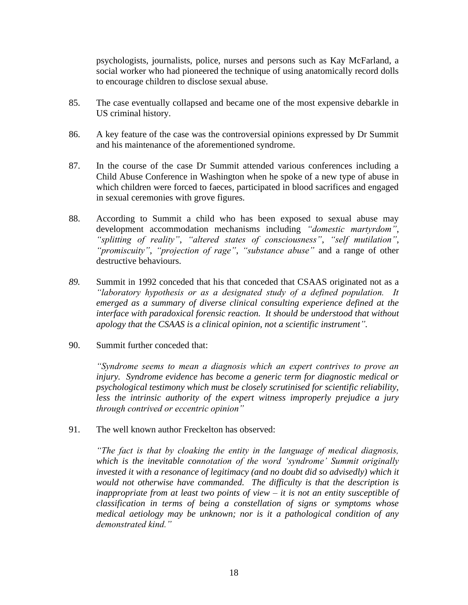psychologists, journalists, police, nurses and persons such as Kay McFarland, a social worker who had pioneered the technique of using anatomically record dolls to encourage children to disclose sexual abuse.

- 85. The case eventually collapsed and became one of the most expensive debarkle in US criminal history.
- 86. A key feature of the case was the controversial opinions expressed by Dr Summit and his maintenance of the aforementioned syndrome.
- 87. In the course of the case Dr Summit attended various conferences including a Child Abuse Conference in Washington when he spoke of a new type of abuse in which children were forced to faeces, participated in blood sacrifices and engaged in sexual ceremonies with grove figures.
- 88. According to Summit a child who has been exposed to sexual abuse may development accommodation mechanisms including *"domestic martyrdom"*, *"splitting of reality"*, *"altered states of consciousness"*, *"self mutilation"*, *"promiscuity"*, *"projection of rage"*, *"substance abuse"* and a range of other destructive behaviours.
- *89.* Summit in 1992 conceded that his that conceded that CSAAS originated not as a *"laboratory hypothesis or as a designated study of a defined population. It emerged as a summary of diverse clinical consulting experience defined at the interface with paradoxical forensic reaction. It should be understood that without apology that the CSAAS is a clinical opinion, not a scientific instrument".*
- 90. Summit further conceded that:

*"Syndrome seems to mean a diagnosis which an expert contrives to prove an injury. Syndrome evidence has become a generic term for diagnostic medical or psychological testimony which must be closely scrutinised for scientific reliability, less the intrinsic authority of the expert witness improperly prejudice a jury through contrived or eccentric opinion"*

91. The well known author Freckelton has observed:

*"The fact is that by cloaking the entity in the language of medical diagnosis, which is the inevitable connotation of the word 'syndrome' Summit originally invested it with a resonance of legitimacy (and no doubt did so advisedly) which it would not otherwise have commanded. The difficulty is that the description is inappropriate from at least two points of view – it is not an entity susceptible of classification in terms of being a constellation of signs or symptoms whose medical aetiology may be unknown; nor is it a pathological condition of any demonstrated kind."*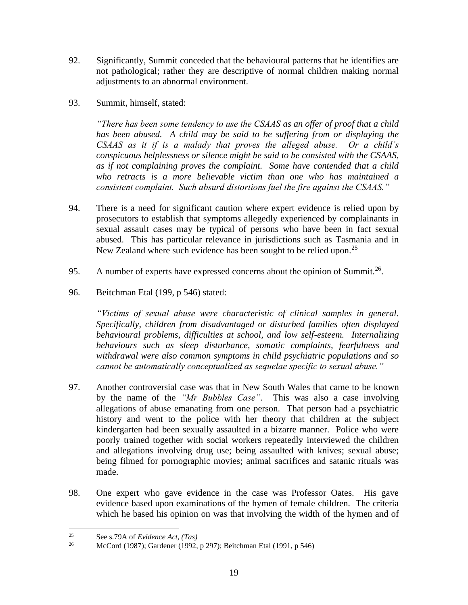- 92. Significantly, Summit conceded that the behavioural patterns that he identifies are not pathological; rather they are descriptive of normal children making normal adjustments to an abnormal environment.
- 93. Summit, himself, stated:

*"There has been some tendency to use the CSAAS as an offer of proof that a child has been abused. A child may be said to be suffering from or displaying the CSAAS as it if is a malady that proves the alleged abuse. Or a child's conspicuous helplessness or silence might be said to be consisted with the CSAAS, as if not complaining proves the complaint. Some have contended that a child who retracts is a more believable victim than one who has maintained a consistent complaint. Such absurd distortions fuel the fire against the CSAAS."*

- 94. There is a need for significant caution where expert evidence is relied upon by prosecutors to establish that symptoms allegedly experienced by complainants in sexual assault cases may be typical of persons who have been in fact sexual abused. This has particular relevance in jurisdictions such as Tasmania and in New Zealand where such evidence has been sought to be relied upon.<sup>25</sup>
- 95. A number of experts have expressed concerns about the opinion of Summit.<sup>26</sup>.
- 96. Beitchman Etal (199, p 546) stated:

*"Victims of sexual abuse were characteristic of clinical samples in general. Specifically, children from disadvantaged or disturbed families often displayed behavioural problems, difficulties at school, and low self-esteem. Internalizing behaviours such as sleep disturbance, somatic complaints, fearfulness and withdrawal were also common symptoms in child psychiatric populations and so cannot be automatically conceptualized as sequelae specific to sexual abuse."*

- 97. Another controversial case was that in New South Wales that came to be known by the name of the *"Mr Bubbles Case"*. This was also a case involving allegations of abuse emanating from one person. That person had a psychiatric history and went to the police with her theory that children at the subject kindergarten had been sexually assaulted in a bizarre manner. Police who were poorly trained together with social workers repeatedly interviewed the children and allegations involving drug use; being assaulted with knives; sexual abuse; being filmed for pornographic movies; animal sacrifices and satanic rituals was made.
- 98. One expert who gave evidence in the case was Professor Oates. His gave evidence based upon examinations of the hymen of female children. The criteria which he based his opinion on was that involving the width of the hymen and of

<sup>25</sup> See s.79A of *Evidence Act, (Tas)*

<sup>26</sup> McCord (1987); Gardener (1992, p 297); Beitchman Etal (1991, p 546)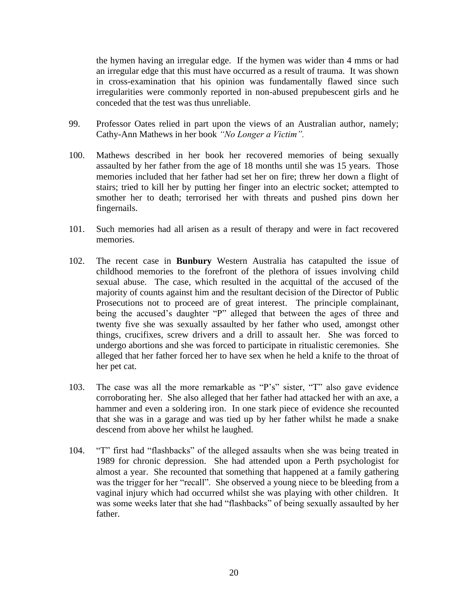the hymen having an irregular edge. If the hymen was wider than 4 mms or had an irregular edge that this must have occurred as a result of trauma. It was shown in cross-examination that his opinion was fundamentally flawed since such irregularities were commonly reported in non-abused prepubescent girls and he conceded that the test was thus unreliable.

- 99. Professor Oates relied in part upon the views of an Australian author, namely; Cathy-Ann Mathews in her book *"No Longer a Victim".*
- 100. Mathews described in her book her recovered memories of being sexually assaulted by her father from the age of 18 months until she was 15 years. Those memories included that her father had set her on fire; threw her down a flight of stairs; tried to kill her by putting her finger into an electric socket; attempted to smother her to death; terrorised her with threats and pushed pins down her fingernails.
- 101. Such memories had all arisen as a result of therapy and were in fact recovered memories.
- 102. The recent case in **Bunbury** Western Australia has catapulted the issue of childhood memories to the forefront of the plethora of issues involving child sexual abuse. The case, which resulted in the acquittal of the accused of the majority of counts against him and the resultant decision of the Director of Public Prosecutions not to proceed are of great interest. The principle complainant, being the accused's daughter "P" alleged that between the ages of three and twenty five she was sexually assaulted by her father who used, amongst other things, crucifixes, screw drivers and a drill to assault her. She was forced to undergo abortions and she was forced to participate in ritualistic ceremonies. She alleged that her father forced her to have sex when he held a knife to the throat of her pet cat.
- 103. The case was all the more remarkable as "P's" sister, "T" also gave evidence corroborating her. She also alleged that her father had attacked her with an axe, a hammer and even a soldering iron. In one stark piece of evidence she recounted that she was in a garage and was tied up by her father whilst he made a snake descend from above her whilst he laughed.
- 104. "T" first had "flashbacks" of the alleged assaults when she was being treated in 1989 for chronic depression. She had attended upon a Perth psychologist for almost a year. She recounted that something that happened at a family gathering was the trigger for her "recall". She observed a young niece to be bleeding from a vaginal injury which had occurred whilst she was playing with other children. It was some weeks later that she had "flashbacks" of being sexually assaulted by her father.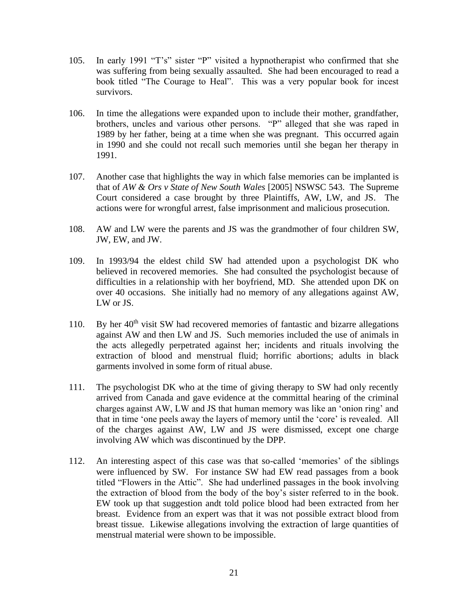- 105. In early 1991 "T's" sister "P" visited a hypnotherapist who confirmed that she was suffering from being sexually assaulted. She had been encouraged to read a book titled "The Courage to Heal". This was a very popular book for incest survivors.
- 106. In time the allegations were expanded upon to include their mother, grandfather, brothers, uncles and various other persons. "P" alleged that she was raped in 1989 by her father, being at a time when she was pregnant. This occurred again in 1990 and she could not recall such memories until she began her therapy in 1991.
- 107. Another case that highlights the way in which false memories can be implanted is that of *AW & Ors v State of New South Wales* [2005] NSWSC 543. The Supreme Court considered a case brought by three Plaintiffs, AW, LW, and JS. The actions were for wrongful arrest, false imprisonment and malicious prosecution.
- 108. AW and LW were the parents and JS was the grandmother of four children SW, JW, EW, and JW.
- 109. In 1993/94 the eldest child SW had attended upon a psychologist DK who believed in recovered memories. She had consulted the psychologist because of difficulties in a relationship with her boyfriend, MD. She attended upon DK on over 40 occasions. She initially had no memory of any allegations against AW, LW or JS.
- 110. By her  $40<sup>th</sup>$  visit SW had recovered memories of fantastic and bizarre allegations against AW and then LW and JS. Such memories included the use of animals in the acts allegedly perpetrated against her; incidents and rituals involving the extraction of blood and menstrual fluid; horrific abortions; adults in black garments involved in some form of ritual abuse.
- 111. The psychologist DK who at the time of giving therapy to SW had only recently arrived from Canada and gave evidence at the committal hearing of the criminal charges against AW, LW and JS that human memory was like an 'onion ring' and that in time 'one peels away the layers of memory until the 'core' is revealed. All of the charges against AW, LW and JS were dismissed, except one charge involving AW which was discontinued by the DPP.
- 112. An interesting aspect of this case was that so-called 'memories' of the siblings were influenced by SW. For instance SW had EW read passages from a book titled "Flowers in the Attic". She had underlined passages in the book involving the extraction of blood from the body of the boy's sister referred to in the book. EW took up that suggestion andt told police blood had been extracted from her breast. Evidence from an expert was that it was not possible extract blood from breast tissue. Likewise allegations involving the extraction of large quantities of menstrual material were shown to be impossible.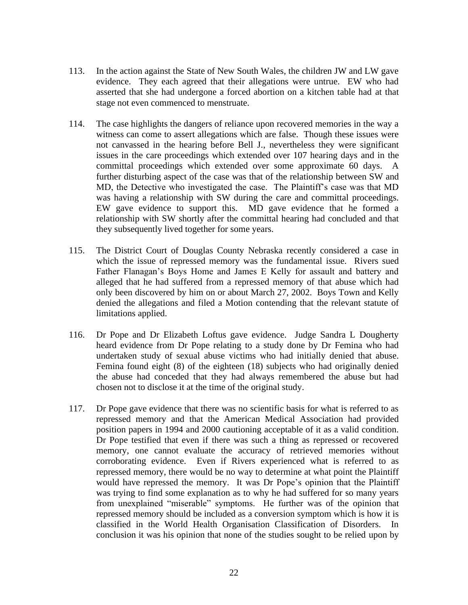- 113. In the action against the State of New South Wales, the children JW and LW gave evidence. They each agreed that their allegations were untrue. EW who had asserted that she had undergone a forced abortion on a kitchen table had at that stage not even commenced to menstruate.
- 114. The case highlights the dangers of reliance upon recovered memories in the way a witness can come to assert allegations which are false. Though these issues were not canvassed in the hearing before Bell J., nevertheless they were significant issues in the care proceedings which extended over 107 hearing days and in the committal proceedings which extended over some approximate 60 days. A further disturbing aspect of the case was that of the relationship between SW and MD, the Detective who investigated the case. The Plaintiff's case was that MD was having a relationship with SW during the care and committal proceedings. EW gave evidence to support this. MD gave evidence that he formed a relationship with SW shortly after the committal hearing had concluded and that they subsequently lived together for some years.
- 115. The District Court of Douglas County Nebraska recently considered a case in which the issue of repressed memory was the fundamental issue. Rivers sued Father Flanagan's Boys Home and James E Kelly for assault and battery and alleged that he had suffered from a repressed memory of that abuse which had only been discovered by him on or about March 27, 2002. Boys Town and Kelly denied the allegations and filed a Motion contending that the relevant statute of limitations applied.
- 116. Dr Pope and Dr Elizabeth Loftus gave evidence. Judge Sandra L Dougherty heard evidence from Dr Pope relating to a study done by Dr Femina who had undertaken study of sexual abuse victims who had initially denied that abuse. Femina found eight (8) of the eighteen (18) subjects who had originally denied the abuse had conceded that they had always remembered the abuse but had chosen not to disclose it at the time of the original study.
- 117. Dr Pope gave evidence that there was no scientific basis for what is referred to as repressed memory and that the American Medical Association had provided position papers in 1994 and 2000 cautioning acceptable of it as a valid condition. Dr Pope testified that even if there was such a thing as repressed or recovered memory, one cannot evaluate the accuracy of retrieved memories without corroborating evidence. Even if Rivers experienced what is referred to as repressed memory, there would be no way to determine at what point the Plaintiff would have repressed the memory. It was Dr Pope's opinion that the Plaintiff was trying to find some explanation as to why he had suffered for so many years from unexplained "miserable" symptoms. He further was of the opinion that repressed memory should be included as a conversion symptom which is how it is classified in the World Health Organisation Classification of Disorders. In conclusion it was his opinion that none of the studies sought to be relied upon by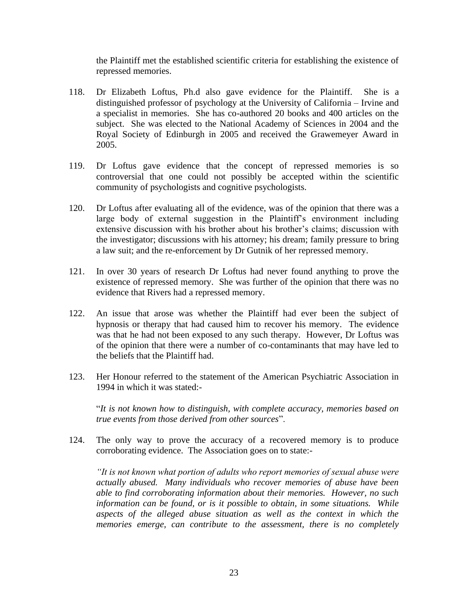the Plaintiff met the established scientific criteria for establishing the existence of repressed memories.

- 118. Dr Elizabeth Loftus, Ph.d also gave evidence for the Plaintiff. She is a distinguished professor of psychology at the University of California – Irvine and a specialist in memories. She has co-authored 20 books and 400 articles on the subject. She was elected to the National Academy of Sciences in 2004 and the Royal Society of Edinburgh in 2005 and received the Grawemeyer Award in 2005.
- 119. Dr Loftus gave evidence that the concept of repressed memories is so controversial that one could not possibly be accepted within the scientific community of psychologists and cognitive psychologists.
- 120. Dr Loftus after evaluating all of the evidence, was of the opinion that there was a large body of external suggestion in the Plaintiff's environment including extensive discussion with his brother about his brother's claims; discussion with the investigator; discussions with his attorney; his dream; family pressure to bring a law suit; and the re-enforcement by Dr Gutnik of her repressed memory.
- 121. In over 30 years of research Dr Loftus had never found anything to prove the existence of repressed memory. She was further of the opinion that there was no evidence that Rivers had a repressed memory.
- 122. An issue that arose was whether the Plaintiff had ever been the subject of hypnosis or therapy that had caused him to recover his memory. The evidence was that he had not been exposed to any such therapy. However, Dr Loftus was of the opinion that there were a number of co-contaminants that may have led to the beliefs that the Plaintiff had.
- 123. Her Honour referred to the statement of the American Psychiatric Association in 1994 in which it was stated:-

"*It is not known how to distinguish, with complete accuracy, memories based on true events from those derived from other sources*".

124. The only way to prove the accuracy of a recovered memory is to produce corroborating evidence. The Association goes on to state:-

*"It is not known what portion of adults who report memories of sexual abuse were actually abused. Many individuals who recover memories of abuse have been able to find corroborating information about their memories. However, no such information can be found, or is it possible to obtain, in some situations. While*  aspects of the alleged abuse situation as well as the context in which the *memories emerge, can contribute to the assessment, there is no completely*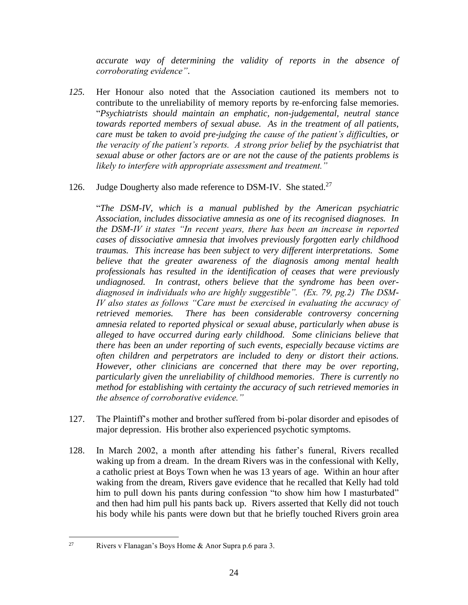*accurate way of determining the validity of reports in the absence of corroborating evidence"*.

*125.* Her Honour also noted that the Association cautioned its members not to contribute to the unreliability of memory reports by re-enforcing false memories. "*Psychiatrists should maintain an emphatic, non-judgemental, neutral stance towards reported members of sexual abuse. As in the treatment of all patients, care must be taken to avoid pre-judging the cause of the patient's difficulties, or the veracity of the patient's reports. A strong prior belief by the psychiatrist that sexual abuse or other factors are or are not the cause of the patients problems is likely to interfere with appropriate assessment and treatment."*

#### 126. Judge Dougherty also made reference to DSM-IV. She stated.<sup>27</sup>

"*The DSM-IV, which is a manual published by the American psychiatric Association, includes dissociative amnesia as one of its recognised diagnoses. In the DSM-IV it states "In recent years, there has been an increase in reported cases of dissociative amnesia that involves previously forgotten early childhood traumas. This increase has been subject to very different interpretations. Some believe that the greater awareness of the diagnosis among mental health professionals has resulted in the identification of ceases that were previously undiagnosed. In contrast, others believe that the syndrome has been overdiagnosed in individuals who are highly suggestible". (Ex. 79, pg.2) The DSM-IV also states as follows "Care must be exercised in evaluating the accuracy of retrieved memories. There has been considerable controversy concerning amnesia related to reported physical or sexual abuse, particularly when abuse is alleged to have occurred during early childhood. Some clinicians believe that there has been an under reporting of such events, especially because victims are often children and perpetrators are included to deny or distort their actions. However, other clinicians are concerned that there may be over reporting, particularly given the unreliability of childhood memories. There is currently no method for establishing with certainty the accuracy of such retrieved memories in the absence of corroborative evidence."*

- 127. The Plaintiff's mother and brother suffered from bi-polar disorder and episodes of major depression. His brother also experienced psychotic symptoms.
- 128. In March 2002, a month after attending his father's funeral, Rivers recalled waking up from a dream. In the dream Rivers was in the confessional with Kelly, a catholic priest at Boys Town when he was 13 years of age. Within an hour after waking from the dream, Rivers gave evidence that he recalled that Kelly had told him to pull down his pants during confession "to show him how I masturbated" and then had him pull his pants back up. Rivers asserted that Kelly did not touch his body while his pants were down but that he briefly touched Rivers groin area

<sup>&</sup>lt;sup>27</sup> Rivers v Flanagan's Boys Home & Anor Supra p.6 para 3.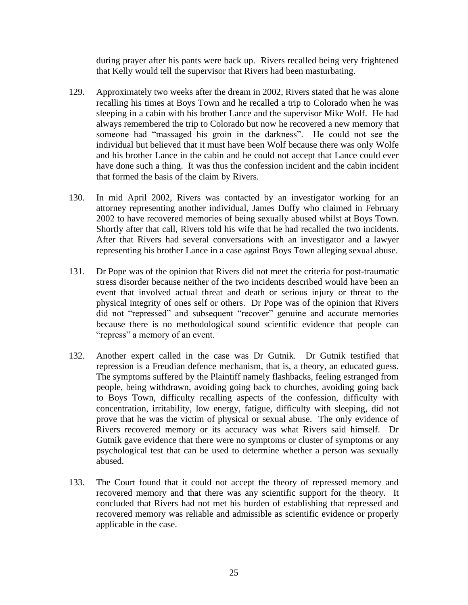during prayer after his pants were back up. Rivers recalled being very frightened that Kelly would tell the supervisor that Rivers had been masturbating.

- 129. Approximately two weeks after the dream in 2002, Rivers stated that he was alone recalling his times at Boys Town and he recalled a trip to Colorado when he was sleeping in a cabin with his brother Lance and the supervisor Mike Wolf. He had always remembered the trip to Colorado but now he recovered a new memory that someone had "massaged his groin in the darkness". He could not see the individual but believed that it must have been Wolf because there was only Wolfe and his brother Lance in the cabin and he could not accept that Lance could ever have done such a thing. It was thus the confession incident and the cabin incident that formed the basis of the claim by Rivers.
- 130. In mid April 2002, Rivers was contacted by an investigator working for an attorney representing another individual, James Duffy who claimed in February 2002 to have recovered memories of being sexually abused whilst at Boys Town. Shortly after that call, Rivers told his wife that he had recalled the two incidents. After that Rivers had several conversations with an investigator and a lawyer representing his brother Lance in a case against Boys Town alleging sexual abuse.
- 131. Dr Pope was of the opinion that Rivers did not meet the criteria for post-traumatic stress disorder because neither of the two incidents described would have been an event that involved actual threat and death or serious injury or threat to the physical integrity of ones self or others. Dr Pope was of the opinion that Rivers did not "repressed" and subsequent "recover" genuine and accurate memories because there is no methodological sound scientific evidence that people can "repress" a memory of an event.
- 132. Another expert called in the case was Dr Gutnik. Dr Gutnik testified that repression is a Freudian defence mechanism, that is, a theory, an educated guess. The symptoms suffered by the Plaintiff namely flashbacks, feeling estranged from people, being withdrawn, avoiding going back to churches, avoiding going back to Boys Town, difficulty recalling aspects of the confession, difficulty with concentration, irritability, low energy, fatigue, difficulty with sleeping, did not prove that he was the victim of physical or sexual abuse. The only evidence of Rivers recovered memory or its accuracy was what Rivers said himself. Dr Gutnik gave evidence that there were no symptoms or cluster of symptoms or any psychological test that can be used to determine whether a person was sexually abused.
- 133. The Court found that it could not accept the theory of repressed memory and recovered memory and that there was any scientific support for the theory. It concluded that Rivers had not met his burden of establishing that repressed and recovered memory was reliable and admissible as scientific evidence or properly applicable in the case.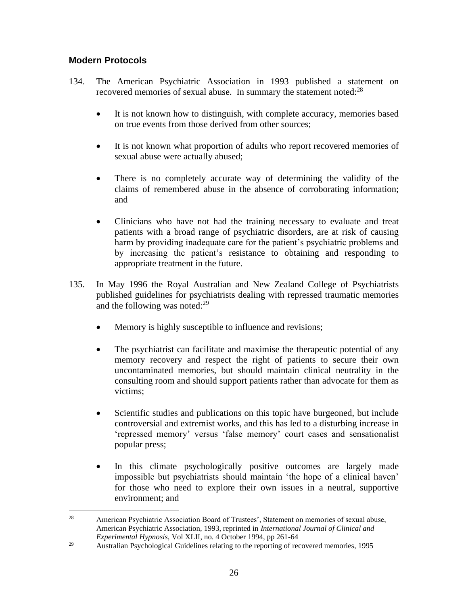#### **Modern Protocols**

- 134. The American Psychiatric Association in 1993 published a statement on recovered memories of sexual abuse. In summary the statement noted:<sup>28</sup>
	- It is not known how to distinguish, with complete accuracy, memories based on true events from those derived from other sources;
	- It is not known what proportion of adults who report recovered memories of sexual abuse were actually abused;
	- There is no completely accurate way of determining the validity of the claims of remembered abuse in the absence of corroborating information; and
	- Clinicians who have not had the training necessary to evaluate and treat patients with a broad range of psychiatric disorders, are at risk of causing harm by providing inadequate care for the patient's psychiatric problems and by increasing the patient's resistance to obtaining and responding to appropriate treatment in the future.
- 135. In May 1996 the Royal Australian and New Zealand College of Psychiatrists published guidelines for psychiatrists dealing with repressed traumatic memories and the following was noted: $29$ 
	- Memory is highly susceptible to influence and revisions;
	- The psychiatrist can facilitate and maximise the therapeutic potential of any memory recovery and respect the right of patients to secure their own uncontaminated memories, but should maintain clinical neutrality in the consulting room and should support patients rather than advocate for them as victims;
	- Scientific studies and publications on this topic have burgeoned, but include controversial and extremist works, and this has led to a disturbing increase in 'repressed memory' versus 'false memory' court cases and sensationalist popular press;
	- In this climate psychologically positive outcomes are largely made impossible but psychiatrists should maintain 'the hope of a clinical haven' for those who need to explore their own issues in a neutral, supportive environment; and

 $28$  American Psychiatric Association Board of Trustees', Statement on memories of sexual abuse, American Psychiatric Association, 1993, reprinted in *International Journal of Clinical and Experimental Hypnosis,* Vol XLII, no. 4 October 1994, pp 261-64

<sup>&</sup>lt;sup>29</sup> Australian Psychological Guidelines relating to the reporting of recovered memories, 1995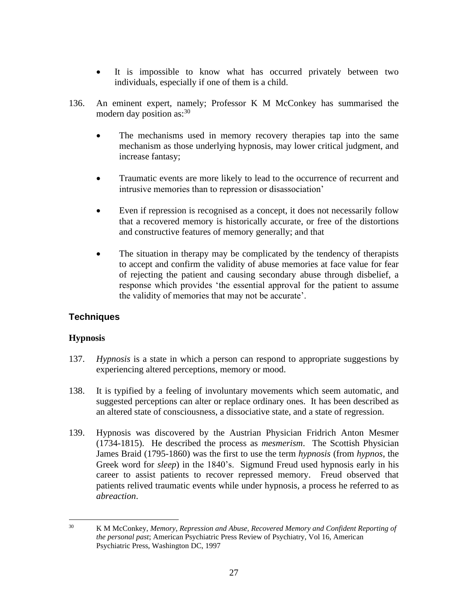- It is impossible to know what has occurred privately between two individuals, especially if one of them is a child.
- 136. An eminent expert, namely; Professor K M McConkey has summarised the modern day position as:  $30<sup>30</sup>$ 
	- The mechanisms used in memory recovery therapies tap into the same mechanism as those underlying hypnosis, may lower critical judgment, and increase fantasy;
	- Traumatic events are more likely to lead to the occurrence of recurrent and intrusive memories than to repression or disassociation'
	- Even if repression is recognised as a concept, it does not necessarily follow that a recovered memory is historically accurate, or free of the distortions and constructive features of memory generally; and that
	- The situation in therapy may be complicated by the tendency of therapists to accept and confirm the validity of abuse memories at face value for fear of rejecting the patient and causing secondary abuse through disbelief, a response which provides 'the essential approval for the patient to assume the validity of memories that may not be accurate'.

# **Techniques**

#### **Hypnosis**

- 137. *Hypnosis* is a state in which a person can respond to appropriate suggestions by experiencing altered perceptions, memory or mood.
- 138. It is typified by a feeling of involuntary movements which seem automatic, and suggested perceptions can alter or replace ordinary ones. It has been described as an altered state of consciousness, a dissociative state, and a state of regression.
- 139. Hypnosis was discovered by the Austrian Physician Fridrich Anton Mesmer (1734-1815). He described the process as *mesmerism*. The Scottish Physician James Braid (1795-1860) was the first to use the term *hypnosis* (from *hypnos*, the Greek word for *sleep*) in the 1840's. Sigmund Freud used hypnosis early in his career to assist patients to recover repressed memory. Freud observed that patients relived traumatic events while under hypnosis, a process he referred to as *abreaction*.

<sup>30</sup> K M McConkey, *Memory, Repression and Abuse, Recovered Memory and Confident Reporting of the personal past*; American Psychiatric Press Review of Psychiatry, Vol 16, American Psychiatric Press, Washington DC, 1997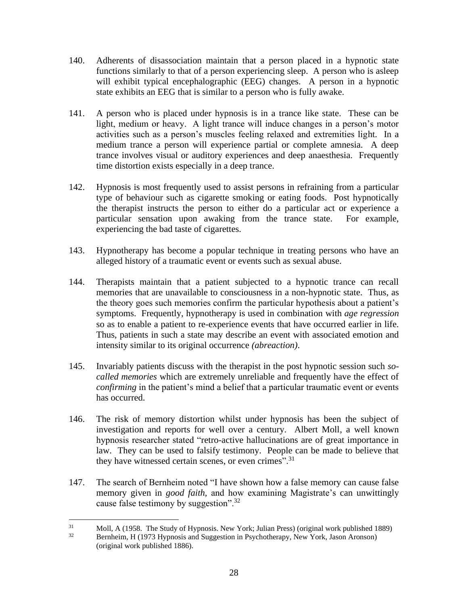- 140. Adherents of disassociation maintain that a person placed in a hypnotic state functions similarly to that of a person experiencing sleep. A person who is asleep will exhibit typical encephalographic (EEG) changes. A person in a hypnotic state exhibits an EEG that is similar to a person who is fully awake.
- 141. A person who is placed under hypnosis is in a trance like state. These can be light, medium or heavy. A light trance will induce changes in a person's motor activities such as a person's muscles feeling relaxed and extremities light. In a medium trance a person will experience partial or complete amnesia. A deep trance involves visual or auditory experiences and deep anaesthesia. Frequently time distortion exists especially in a deep trance.
- 142. Hypnosis is most frequently used to assist persons in refraining from a particular type of behaviour such as cigarette smoking or eating foods. Post hypnotically the therapist instructs the person to either do a particular act or experience a particular sensation upon awaking from the trance state. For example, experiencing the bad taste of cigarettes.
- 143. Hypnotherapy has become a popular technique in treating persons who have an alleged history of a traumatic event or events such as sexual abuse.
- 144. Therapists maintain that a patient subjected to a hypnotic trance can recall memories that are unavailable to consciousness in a non-hypnotic state. Thus, as the theory goes such memories confirm the particular hypothesis about a patient's symptoms. Frequently, hypnotherapy is used in combination with *age regression* so as to enable a patient to re-experience events that have occurred earlier in life. Thus, patients in such a state may describe an event with associated emotion and intensity similar to its original occurrence *(abreaction)*.
- 145. Invariably patients discuss with the therapist in the post hypnotic session such *socalled memories* which are extremely unreliable and frequently have the effect of *confirming* in the patient's mind a belief that a particular traumatic event or events has occurred.
- 146. The risk of memory distortion whilst under hypnosis has been the subject of investigation and reports for well over a century. Albert Moll, a well known hypnosis researcher stated "retro-active hallucinations are of great importance in law. They can be used to falsify testimony. People can be made to believe that they have witnessed certain scenes, or even crimes".<sup>31</sup>
- 147. The search of Bernheim noted "I have shown how a false memory can cause false memory given in *good faith,* and how examining Magistrate's can unwittingly cause false testimony by suggestion".<sup>32</sup>

 $31$  Moll, A (1958. The Study of Hypnosis. New York; Julian Press) (original work published 1889)<br> $32$  Perphaim H (1073 Hypnosis and Suggestion in Baychotherany, New York, Jason Arenson)

Bernheim, H (1973 Hypnosis and Suggestion in Psychotherapy, New York, Jason Aronson) (original work published 1886).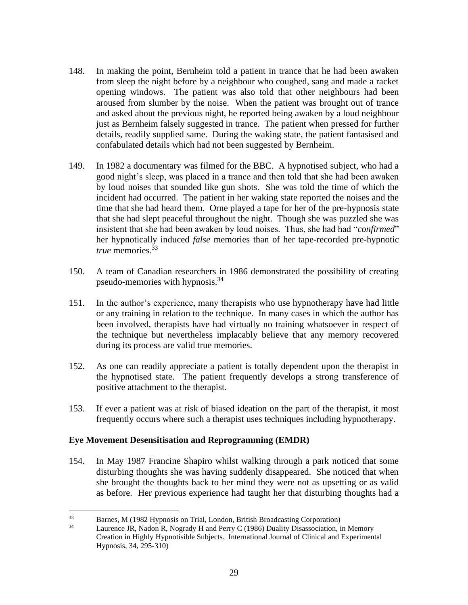- 148. In making the point, Bernheim told a patient in trance that he had been awaken from sleep the night before by a neighbour who coughed, sang and made a racket opening windows. The patient was also told that other neighbours had been aroused from slumber by the noise. When the patient was brought out of trance and asked about the previous night, he reported being awaken by a loud neighbour just as Bernheim falsely suggested in trance. The patient when pressed for further details, readily supplied same. During the waking state, the patient fantasised and confabulated details which had not been suggested by Bernheim.
- 149. In 1982 a documentary was filmed for the BBC. A hypnotised subject, who had a good night's sleep, was placed in a trance and then told that she had been awaken by loud noises that sounded like gun shots. She was told the time of which the incident had occurred. The patient in her waking state reported the noises and the time that she had heard them. Orne played a tape for her of the pre-hypnosis state that she had slept peaceful throughout the night. Though she was puzzled she was insistent that she had been awaken by loud noises. Thus, she had had "*confirmed*" her hypnotically induced *false* memories than of her tape-recorded pre-hypnotic *true* memories.<sup>33</sup>
- 150. A team of Canadian researchers in 1986 demonstrated the possibility of creating pseudo-memories with hypnosis.<sup>34</sup>
- 151. In the author's experience, many therapists who use hypnotherapy have had little or any training in relation to the technique. In many cases in which the author has been involved, therapists have had virtually no training whatsoever in respect of the technique but nevertheless implacably believe that any memory recovered during its process are valid true memories.
- 152. As one can readily appreciate a patient is totally dependent upon the therapist in the hypnotised state. The patient frequently develops a strong transference of positive attachment to the therapist.
- 153. If ever a patient was at risk of biased ideation on the part of the therapist, it most frequently occurs where such a therapist uses techniques including hypnotherapy.

#### **Eye Movement Desensitisation and Reprogramming (EMDR)**

154. In May 1987 Francine Shapiro whilst walking through a park noticed that some disturbing thoughts she was having suddenly disappeared. She noticed that when she brought the thoughts back to her mind they were not as upsetting or as valid as before. Her previous experience had taught her that disturbing thoughts had a

 $33$  Barnes, M (1982 Hypnosis on Trial, London, British Broadcasting Corporation)<br> $34$  I autence IP Nadon P. Nogrady H and Perry C (1986) Duality Disassociation is

Laurence JR, Nadon R, Nogrady H and Perry C (1986) Duality Disassociation, in Memory Creation in Highly Hypnotisible Subjects. International Journal of Clinical and Experimental Hypnosis, 34, 295-310)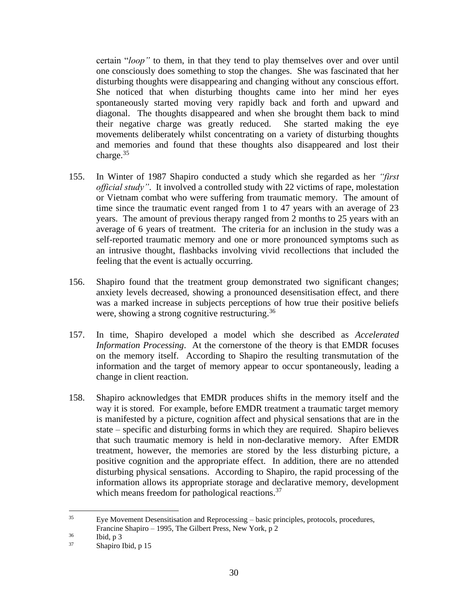certain "*loop"* to them, in that they tend to play themselves over and over until one consciously does something to stop the changes. She was fascinated that her disturbing thoughts were disappearing and changing without any conscious effort. She noticed that when disturbing thoughts came into her mind her eyes spontaneously started moving very rapidly back and forth and upward and diagonal. The thoughts disappeared and when she brought them back to mind their negative charge was greatly reduced. She started making the eye movements deliberately whilst concentrating on a variety of disturbing thoughts and memories and found that these thoughts also disappeared and lost their charge. $35$ 

- 155. In Winter of 1987 Shapiro conducted a study which she regarded as her *"first official study"*. It involved a controlled study with 22 victims of rape, molestation or Vietnam combat who were suffering from traumatic memory. The amount of time since the traumatic event ranged from 1 to 47 years with an average of 23 years. The amount of previous therapy ranged from 2 months to 25 years with an average of 6 years of treatment. The criteria for an inclusion in the study was a self-reported traumatic memory and one or more pronounced symptoms such as an intrusive thought, flashbacks involving vivid recollections that included the feeling that the event is actually occurring.
- 156. Shapiro found that the treatment group demonstrated two significant changes; anxiety levels decreased, showing a pronounced desensitisation effect, and there was a marked increase in subjects perceptions of how true their positive beliefs were, showing a strong cognitive restructuring.<sup>36</sup>
- 157. In time, Shapiro developed a model which she described as *Accelerated Information Processing*. At the cornerstone of the theory is that EMDR focuses on the memory itself. According to Shapiro the resulting transmutation of the information and the target of memory appear to occur spontaneously, leading a change in client reaction.
- 158. Shapiro acknowledges that EMDR produces shifts in the memory itself and the way it is stored. For example, before EMDR treatment a traumatic target memory is manifested by a picture, cognition affect and physical sensations that are in the state – specific and disturbing forms in which they are required. Shapiro believes that such traumatic memory is held in non-declarative memory. After EMDR treatment, however, the memories are stored by the less disturbing picture, a positive cognition and the appropriate effect. In addition, there are no attended disturbing physical sensations. According to Shapiro, the rapid processing of the information allows its appropriate storage and declarative memory, development which means freedom for pathological reactions.<sup>37</sup>

 $35$  Eye Movement Desensitisation and Reprocessing – basic principles, protocols, procedures, Francine Shapiro – 1995, The Gilbert Press, New York, p 2

 $\frac{36}{37}$  Ibid, p 3

Shapiro Ibid, p 15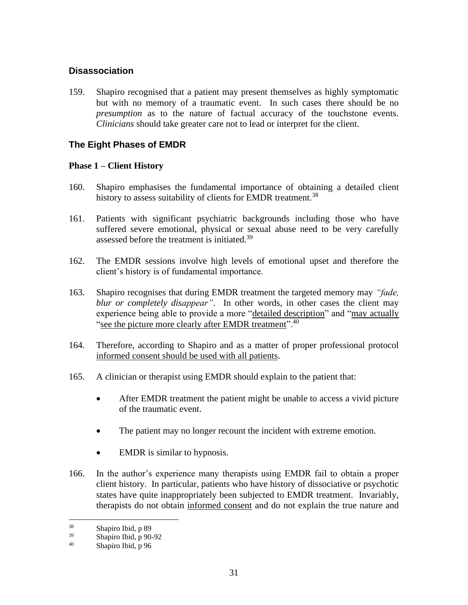#### **Disassociation**

159. Shapiro recognised that a patient may present themselves as highly symptomatic but with no memory of a traumatic event. In such cases there should be no *presumption* as to the nature of factual accuracy of the touchstone events. *Clinicians* should take greater care not to lead or interpret for the client.

# **The Eight Phases of EMDR**

#### **Phase 1 – Client History**

- 160. Shapiro emphasises the fundamental importance of obtaining a detailed client history to assess suitability of clients for EMDR treatment.<sup>38</sup>
- 161. Patients with significant psychiatric backgrounds including those who have suffered severe emotional, physical or sexual abuse need to be very carefully assessed before the treatment is initiated.<sup>39</sup>
- 162. The EMDR sessions involve high levels of emotional upset and therefore the client's history is of fundamental importance.
- 163. Shapiro recognises that during EMDR treatment the targeted memory may *"fade, blur or completely disappear"*. In other words, in other cases the client may experience being able to provide a more "detailed description" and "may actually "see the picture more clearly after EMDR treatment".<sup>40</sup>
- 164. Therefore, according to Shapiro and as a matter of proper professional protocol informed consent should be used with all patients.
- 165. A clinician or therapist using EMDR should explain to the patient that:
	- After EMDR treatment the patient might be unable to access a vivid picture of the traumatic event.
	- The patient may no longer recount the incident with extreme emotion.
	- EMDR is similar to hypnosis.
- 166. In the author's experience many therapists using EMDR fail to obtain a proper client history. In particular, patients who have history of dissociative or psychotic states have quite inappropriately been subjected to EMDR treatment. Invariably, therapists do not obtain informed consent and do not explain the true nature and

 $\frac{38}{39}$  Shapiro Ibid, p 89

 $^{39}$  Shapiro Ibid, p 90-92

Shapiro Ibid, p 96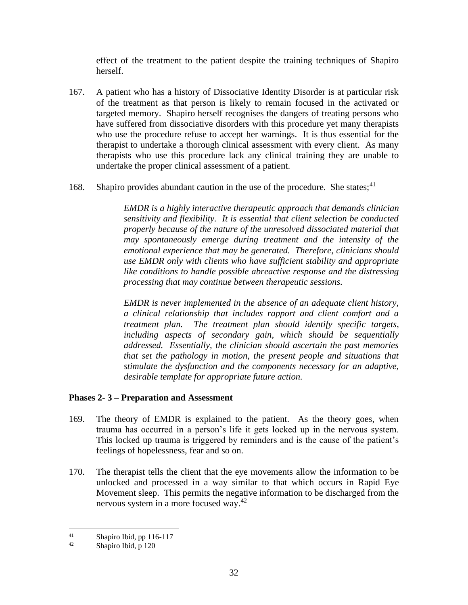effect of the treatment to the patient despite the training techniques of Shapiro herself.

- 167. A patient who has a history of Dissociative Identity Disorder is at particular risk of the treatment as that person is likely to remain focused in the activated or targeted memory. Shapiro herself recognises the dangers of treating persons who have suffered from dissociative disorders with this procedure yet many therapists who use the procedure refuse to accept her warnings. It is thus essential for the therapist to undertake a thorough clinical assessment with every client. As many therapists who use this procedure lack any clinical training they are unable to undertake the proper clinical assessment of a patient.
- 168. Shapiro provides abundant caution in the use of the procedure. She states;<sup>41</sup>

*EMDR is a highly interactive therapeutic approach that demands clinician sensitivity and flexibility. It is essential that client selection be conducted properly because of the nature of the unresolved dissociated material that may spontaneously emerge during treatment and the intensity of the emotional experience that may be generated. Therefore, clinicians should use EMDR only with clients who have sufficient stability and appropriate like conditions to handle possible abreactive response and the distressing processing that may continue between therapeutic sessions.*

*EMDR is never implemented in the absence of an adequate client history, a clinical relationship that includes rapport and client comfort and a treatment plan. The treatment plan should identify specific targets, including aspects of secondary gain, which should be sequentially addressed. Essentially, the clinician should ascertain the past memories that set the pathology in motion, the present people and situations that stimulate the dysfunction and the components necessary for an adaptive, desirable template for appropriate future action.*

#### **Phases 2- 3 – Preparation and Assessment**

- 169. The theory of EMDR is explained to the patient. As the theory goes, when trauma has occurred in a person's life it gets locked up in the nervous system. This locked up trauma is triggered by reminders and is the cause of the patient's feelings of hopelessness, fear and so on.
- 170. The therapist tells the client that the eye movements allow the information to be unlocked and processed in a way similar to that which occurs in Rapid Eye Movement sleep. This permits the negative information to be discharged from the nervous system in a more focused way.<sup>42</sup>

 $\frac{41}{42}$  Shapiro Ibid, pp 116-117

Shapiro Ibid, p 120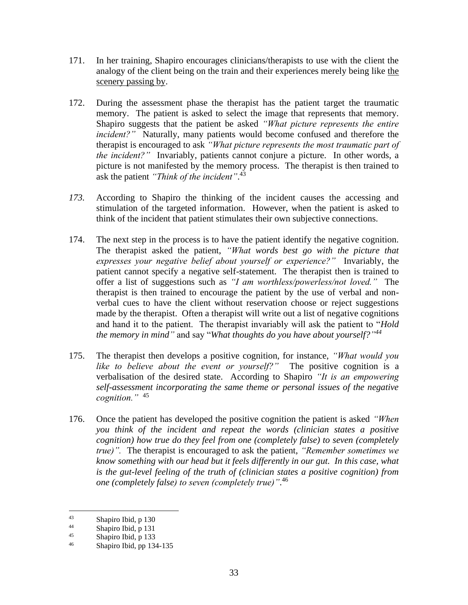- 171. In her training, Shapiro encourages clinicians/therapists to use with the client the analogy of the client being on the train and their experiences merely being like the scenery passing by.
- 172. During the assessment phase the therapist has the patient target the traumatic memory. The patient is asked to select the image that represents that memory. Shapiro suggests that the patient be asked *"What picture represents the entire incident?"* Naturally, many patients would become confused and therefore the therapist is encouraged to ask *"What picture represents the most traumatic part of the incident?"* Invariably, patients cannot conjure a picture. In other words, a picture is not manifested by the memory process. The therapist is then trained to ask the patient *"Think of the incident"*. 43
- *173.* According to Shapiro the thinking of the incident causes the accessing and stimulation of the targeted information. However, when the patient is asked to think of the incident that patient stimulates their own subjective connections.
- 174. The next step in the process is to have the patient identify the negative cognition. The therapist asked the patient, *"What words best go with the picture that expresses your negative belief about yourself or experience?"* Invariably, the patient cannot specify a negative self-statement. The therapist then is trained to offer a list of suggestions such as *"I am worthless/powerless/not loved."* The therapist is then trained to encourage the patient by the use of verbal and nonverbal cues to have the client without reservation choose or reject suggestions made by the therapist. Often a therapist will write out a list of negative cognitions and hand it to the patient. The therapist invariably will ask the patient to "*Hold the memory in mind"* and say "*What thoughts do you have about yourself?" 44*
- 175. The therapist then develops a positive cognition, for instance, *"What would you like to believe about the event or yourself?"* The positive cognition is a verbalisation of the desired state. According to Shapiro *"It is an empowering self-assessment incorporating the same theme or personal issues of the negative cognition."* 45
- 176. Once the patient has developed the positive cognition the patient is asked *"When you think of the incident and repeat the words (clinician states a positive cognition) how true do they feel from one (completely false) to seven (completely true)".* The therapist is encouraged to ask the patient, *"Remember sometimes we know something with our head but it feels differently in our gut. In this case, what is the gut-level feeling of the truth of (clinician states a positive cognition) from one (completely false) to seven (completely true)"*. 46

 $\frac{43}{44}$  Shapiro Ibid, p 130

 $\frac{44}{45}$  Shapiro Ibid, p 131

 $^{45}$  Shapiro Ibid, p 133

Shapiro Ibid, pp 134-135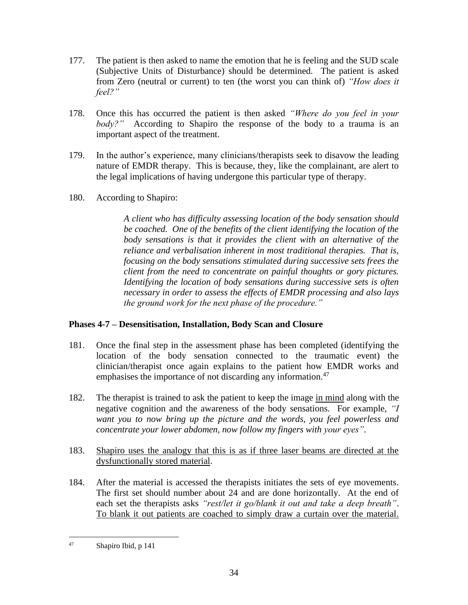- 177. The patient is then asked to name the emotion that he is feeling and the SUD scale (Subjective Units of Disturbance) should be determined. The patient is asked from Zero (neutral or current) to ten (the worst you can think of) *"How does it feel?"*
- 178. Once this has occurred the patient is then asked *"Where do you feel in your body?"* According to Shapiro the response of the body to a trauma is an important aspect of the treatment.
- 179. In the author's experience, many clinicians/therapists seek to disavow the leading nature of EMDR therapy. This is because, they, like the complainant, are alert to the legal implications of having undergone this particular type of therapy.
- 180. According to Shapiro:

*A client who has difficulty assessing location of the body sensation should be coached. One of the benefits of the client identifying the location of the body sensations is that it provides the client with an alternative of the reliance and verbalisation inherent in most traditional therapies. That is, focusing on the body sensations stimulated during successive sets frees the client from the need to concentrate on painful thoughts or gory pictures. Identifying the location of body sensations during successive sets is often necessary in order to assess the effects of EMDR processing and also lays the ground work for the next phase of the procedure."*

# **Phases 4-7 – Desensitisation, Installation, Body Scan and Closure**

- 181. Once the final step in the assessment phase has been completed (identifying the location of the body sensation connected to the traumatic event) the clinician/therapist once again explains to the patient how EMDR works and emphasises the importance of not discarding any information.<sup>47</sup>
- 182. The therapist is trained to ask the patient to keep the image in mind along with the negative cognition and the awareness of the body sensations. For example, *"I want you to now bring up the picture and the words, you feel powerless and concentrate your lower abdomen, now follow my fingers with your eyes"*.
- 183. Shapiro uses the analogy that this is as if three laser beams are directed at the dysfunctionally stored material.
- 184. After the material is accessed the therapists initiates the sets of eye movements. The first set should number about 24 and are done horizontally. At the end of each set the therapists asks *"rest/let it go/blank it out and take a deep breath"*. To blank it out patients are coached to simply draw a curtain over the material.

<sup>47</sup> Shapiro Ibid, p 141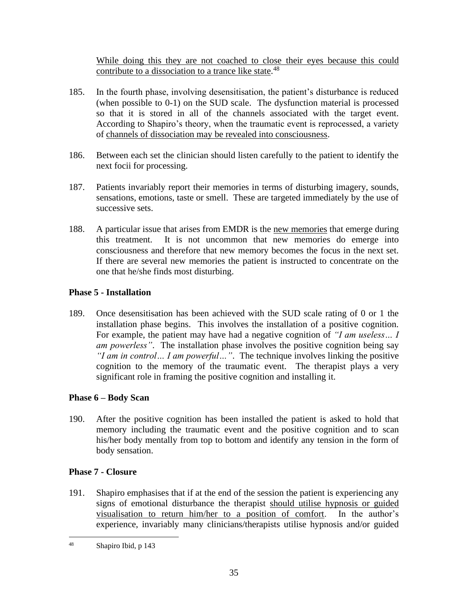While doing this they are not coached to close their eyes because this could contribute to a dissociation to a trance like state.<sup>48</sup>

- 185. In the fourth phase, involving desensitisation, the patient's disturbance is reduced (when possible to 0-1) on the SUD scale. The dysfunction material is processed so that it is stored in all of the channels associated with the target event. According to Shapiro's theory, when the traumatic event is reprocessed, a variety of channels of dissociation may be revealed into consciousness.
- 186. Between each set the clinician should listen carefully to the patient to identify the next focii for processing.
- 187. Patients invariably report their memories in terms of disturbing imagery, sounds, sensations, emotions, taste or smell. These are targeted immediately by the use of successive sets.
- 188. A particular issue that arises from EMDR is the new memories that emerge during this treatment. It is not uncommon that new memories do emerge into consciousness and therefore that new memory becomes the focus in the next set. If there are several new memories the patient is instructed to concentrate on the one that he/she finds most disturbing.

#### **Phase 5 - Installation**

189. Once desensitisation has been achieved with the SUD scale rating of 0 or 1 the installation phase begins. This involves the installation of a positive cognition. For example, the patient may have had a negative cognition of *"I am useless… I am powerless*". The installation phase involves the positive cognition being say *"I am in control… I am powerful…"*. The technique involves linking the positive cognition to the memory of the traumatic event. The therapist plays a very significant role in framing the positive cognition and installing it.

#### **Phase 6 – Body Scan**

190. After the positive cognition has been installed the patient is asked to hold that memory including the traumatic event and the positive cognition and to scan his/her body mentally from top to bottom and identify any tension in the form of body sensation.

#### **Phase 7 - Closure**

191. Shapiro emphasises that if at the end of the session the patient is experiencing any signs of emotional disturbance the therapist should utilise hypnosis or guided visualisation to return him/her to a position of comfort. In the author's experience, invariably many clinicians/therapists utilise hypnosis and/or guided

<sup>48</sup> Shapiro Ibid, p 143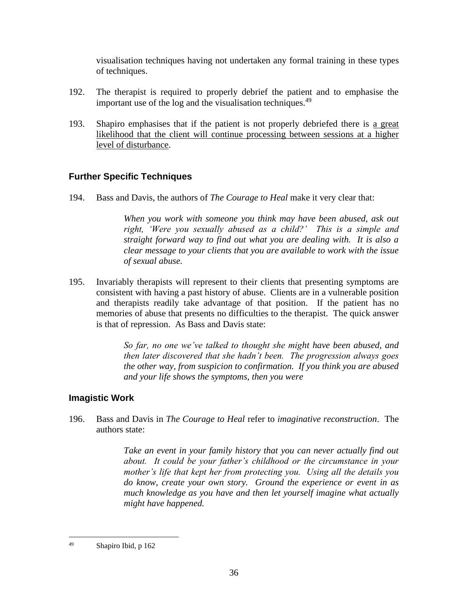visualisation techniques having not undertaken any formal training in these types of techniques.

- 192. The therapist is required to properly debrief the patient and to emphasise the important use of the log and the visualisation techniques. $49$
- 193. Shapiro emphasises that if the patient is not properly debriefed there is a great likelihood that the client will continue processing between sessions at a higher level of disturbance.

# **Further Specific Techniques**

194. Bass and Davis, the authors of *The Courage to Heal* make it very clear that:

*When you work with someone you think may have been abused, ask out right, 'Were you sexually abused as a child?' This is a simple and straight forward way to find out what you are dealing with. It is also a clear message to your clients that you are available to work with the issue of sexual abuse.*

195. Invariably therapists will represent to their clients that presenting symptoms are consistent with having a past history of abuse. Clients are in a vulnerable position and therapists readily take advantage of that position. If the patient has no memories of abuse that presents no difficulties to the therapist. The quick answer is that of repression. As Bass and Davis state:

> *So far, no one we've talked to thought she might have been abused, and then later discovered that she hadn't been. The progression always goes the other way, from suspicion to confirmation. If you think you are abused and your life shows the symptoms, then you were*

#### **Imagistic Work**

196. Bass and Davis in *The Courage to Heal* refer to *imaginative reconstruction*. The authors state:

> *Take an event in your family history that you can never actually find out about. It could be your father's childhood or the circumstance in your mother's life that kept her from protecting you. Using all the details you do know, create your own story. Ground the experience or event in as much knowledge as you have and then let yourself imagine what actually might have happened.*

<sup>49</sup> Shapiro Ibid, p 162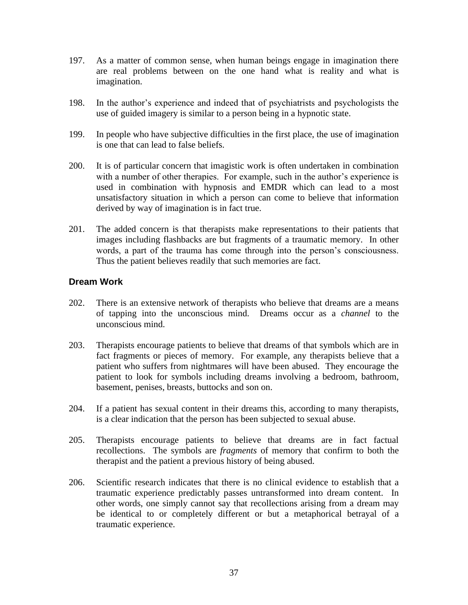- 197. As a matter of common sense, when human beings engage in imagination there are real problems between on the one hand what is reality and what is imagination.
- 198. In the author's experience and indeed that of psychiatrists and psychologists the use of guided imagery is similar to a person being in a hypnotic state.
- 199. In people who have subjective difficulties in the first place, the use of imagination is one that can lead to false beliefs.
- 200. It is of particular concern that imagistic work is often undertaken in combination with a number of other therapies. For example, such in the author's experience is used in combination with hypnosis and EMDR which can lead to a most unsatisfactory situation in which a person can come to believe that information derived by way of imagination is in fact true.
- 201. The added concern is that therapists make representations to their patients that images including flashbacks are but fragments of a traumatic memory. In other words, a part of the trauma has come through into the person's consciousness. Thus the patient believes readily that such memories are fact.

#### **Dream Work**

- 202. There is an extensive network of therapists who believe that dreams are a means of tapping into the unconscious mind. Dreams occur as a *channel* to the unconscious mind.
- 203. Therapists encourage patients to believe that dreams of that symbols which are in fact fragments or pieces of memory. For example, any therapists believe that a patient who suffers from nightmares will have been abused. They encourage the patient to look for symbols including dreams involving a bedroom, bathroom, basement, penises, breasts, buttocks and son on.
- 204. If a patient has sexual content in their dreams this, according to many therapists, is a clear indication that the person has been subjected to sexual abuse.
- 205. Therapists encourage patients to believe that dreams are in fact factual recollections. The symbols are *fragments* of memory that confirm to both the therapist and the patient a previous history of being abused.
- 206. Scientific research indicates that there is no clinical evidence to establish that a traumatic experience predictably passes untransformed into dream content. In other words, one simply cannot say that recollections arising from a dream may be identical to or completely different or but a metaphorical betrayal of a traumatic experience.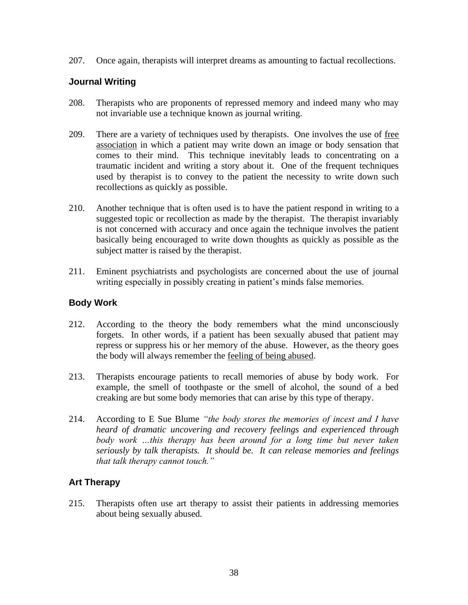207. Once again, therapists will interpret dreams as amounting to factual recollections.

#### **Journal Writing**

- 208. Therapists who are proponents of repressed memory and indeed many who may not invariable use a technique known as journal writing.
- 209. There are a variety of techniques used by therapists. One involves the use of free association in which a patient may write down an image or body sensation that comes to their mind. This technique inevitably leads to concentrating on a traumatic incident and writing a story about it. One of the frequent techniques used by therapist is to convey to the patient the necessity to write down such recollections as quickly as possible.
- 210. Another technique that is often used is to have the patient respond in writing to a suggested topic or recollection as made by the therapist. The therapist invariably is not concerned with accuracy and once again the technique involves the patient basically being encouraged to write down thoughts as quickly as possible as the subject matter is raised by the therapist.
- 211. Eminent psychiatrists and psychologists are concerned about the use of journal writing especially in possibly creating in patient's minds false memories.

# **Body Work**

- 212. According to the theory the body remembers what the mind unconsciously forgets. In other words, if a patient has been sexually abused that patient may repress or suppress his or her memory of the abuse. However, as the theory goes the body will always remember the feeling of being abused.
- 213. Therapists encourage patients to recall memories of abuse by body work. For example, the smell of toothpaste or the smell of alcohol, the sound of a bed creaking are but some body memories that can arise by this type of therapy.
- 214. According to E Sue Blume *"the body stores the memories of incest and I have heard of dramatic uncovering and recovery feelings and experienced through body work …this therapy has been around for a long time but never taken seriously by talk therapists. It should be. It can release memories and feelings that talk therapy cannot touch."*

# **Art Therapy**

215. Therapists often use art therapy to assist their patients in addressing memories about being sexually abused.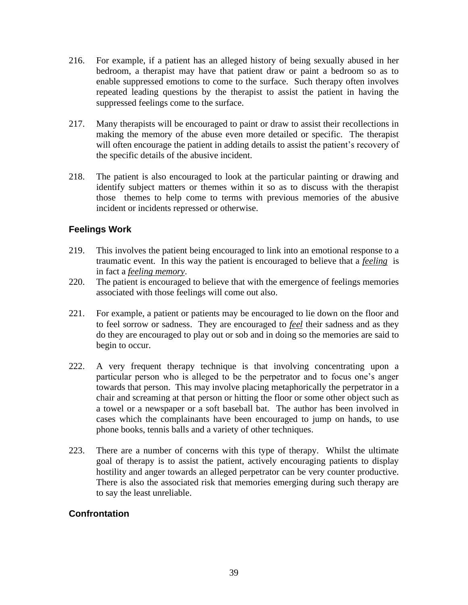- 216. For example, if a patient has an alleged history of being sexually abused in her bedroom, a therapist may have that patient draw or paint a bedroom so as to enable suppressed emotions to come to the surface. Such therapy often involves repeated leading questions by the therapist to assist the patient in having the suppressed feelings come to the surface.
- 217. Many therapists will be encouraged to paint or draw to assist their recollections in making the memory of the abuse even more detailed or specific. The therapist will often encourage the patient in adding details to assist the patient's recovery of the specific details of the abusive incident.
- 218. The patient is also encouraged to look at the particular painting or drawing and identify subject matters or themes within it so as to discuss with the therapist those themes to help come to terms with previous memories of the abusive incident or incidents repressed or otherwise.

#### **Feelings Work**

- 219. This involves the patient being encouraged to link into an emotional response to a traumatic event. In this way the patient is encouraged to believe that a *feeling* is in fact a *feeling memory*.
- 220. The patient is encouraged to believe that with the emergence of feelings memories associated with those feelings will come out also.
- 221. For example, a patient or patients may be encouraged to lie down on the floor and to feel sorrow or sadness. They are encouraged to *feel* their sadness and as they do they are encouraged to play out or sob and in doing so the memories are said to begin to occur.
- 222. A very frequent therapy technique is that involving concentrating upon a particular person who is alleged to be the perpetrator and to focus one's anger towards that person. This may involve placing metaphorically the perpetrator in a chair and screaming at that person or hitting the floor or some other object such as a towel or a newspaper or a soft baseball bat. The author has been involved in cases which the complainants have been encouraged to jump on hands, to use phone books, tennis balls and a variety of other techniques.
- 223. There are a number of concerns with this type of therapy. Whilst the ultimate goal of therapy is to assist the patient, actively encouraging patients to display hostility and anger towards an alleged perpetrator can be very counter productive. There is also the associated risk that memories emerging during such therapy are to say the least unreliable.

# **Confrontation**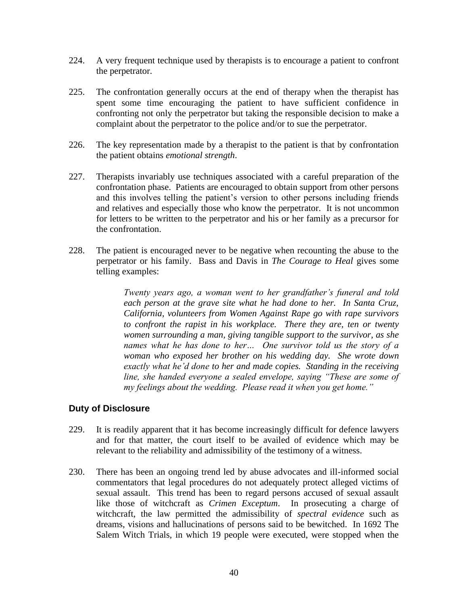- 224. A very frequent technique used by therapists is to encourage a patient to confront the perpetrator.
- 225. The confrontation generally occurs at the end of therapy when the therapist has spent some time encouraging the patient to have sufficient confidence in confronting not only the perpetrator but taking the responsible decision to make a complaint about the perpetrator to the police and/or to sue the perpetrator.
- 226. The key representation made by a therapist to the patient is that by confrontation the patient obtains *emotional strength*.
- 227. Therapists invariably use techniques associated with a careful preparation of the confrontation phase. Patients are encouraged to obtain support from other persons and this involves telling the patient's version to other persons including friends and relatives and especially those who know the perpetrator. It is not uncommon for letters to be written to the perpetrator and his or her family as a precursor for the confrontation.
- 228. The patient is encouraged never to be negative when recounting the abuse to the perpetrator or his family. Bass and Davis in *The Courage to Heal* gives some telling examples:

*Twenty years ago, a woman went to her grandfather's funeral and told each person at the grave site what he had done to her. In Santa Cruz, California, volunteers from Women Against Rape go with rape survivors to confront the rapist in his workplace. There they are, ten or twenty women surrounding a man, giving tangible support to the survivor, as she names what he has done to her… One survivor told us the story of a woman who exposed her brother on his wedding day. She wrote down exactly what he'd done to her and made copies. Standing in the receiving line, she handed everyone a sealed envelope, saying "These are some of my feelings about the wedding. Please read it when you get home."*

#### **Duty of Disclosure**

- 229. It is readily apparent that it has become increasingly difficult for defence lawyers and for that matter, the court itself to be availed of evidence which may be relevant to the reliability and admissibility of the testimony of a witness.
- 230. There has been an ongoing trend led by abuse advocates and ill-informed social commentators that legal procedures do not adequately protect alleged victims of sexual assault. This trend has been to regard persons accused of sexual assault like those of witchcraft as *Crimen Exceptum*. In prosecuting a charge of witchcraft, the law permitted the admissibility of *spectral evidence* such as dreams, visions and hallucinations of persons said to be bewitched. In 1692 The Salem Witch Trials, in which 19 people were executed, were stopped when the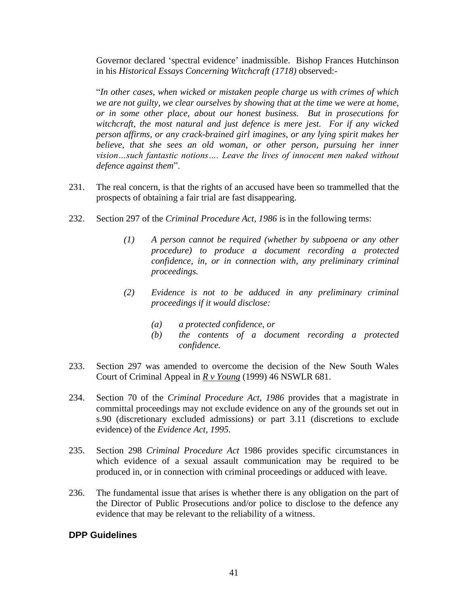Governor declared 'spectral evidence' inadmissible. Bishop Frances Hutchinson in his *Historical Essays Concerning Witchcraft (1718)* observed:-

"*In other cases, when wicked or mistaken people charge us with crimes of which we are not guilty, we clear ourselves by showing that at the time we were at home, or in some other place, about our honest business. But in prosecutions for witchcraft, the most natural and just defence is mere jest. For if any wicked person affirms, or any crack-brained girl imagines, or any lying spirit makes her believe, that she sees an old woman, or other person, pursuing her inner vision…such fantastic notions…. Leave the lives of innocent men naked without defence against them*".

- 231. The real concern, is that the rights of an accused have been so trammelled that the prospects of obtaining a fair trial are fast disappearing.
- 232. Section 297 of the *Criminal Procedure Act, 1986* is in the following terms:
	- *(1) A person cannot be required (whether by subpoena or any other procedure) to produce a document recording a protected confidence, in, or in connection with, any preliminary criminal proceedings.*
	- *(2) Evidence is not to be adduced in any preliminary criminal proceedings if it would disclose:*
		- *(a) a protected confidence, or*
		- *(b) the contents of a document recording a protected confidence.*
- 233. Section 297 was amended to overcome the decision of the New South Wales Court of Criminal Appeal in *R v Young* (1999) 46 NSWLR 681.
- 234. Section 70 of the *Criminal Procedure Act, 1986* provides that a magistrate in committal proceedings may not exclude evidence on any of the grounds set out in s.90 (discretionary excluded admissions) or part 3.11 (discretions to exclude evidence) of the *Evidence Act, 1995.*
- 235. Section 298 *Criminal Procedure Act* 1986 provides specific circumstances in which evidence of a sexual assault communication may be required to be produced in, or in connection with criminal proceedings or adduced with leave.
- 236. The fundamental issue that arises is whether there is any obligation on the part of the Director of Public Prosecutions and/or police to disclose to the defence any evidence that may be relevant to the reliability of a witness.

#### **DPP Guidelines**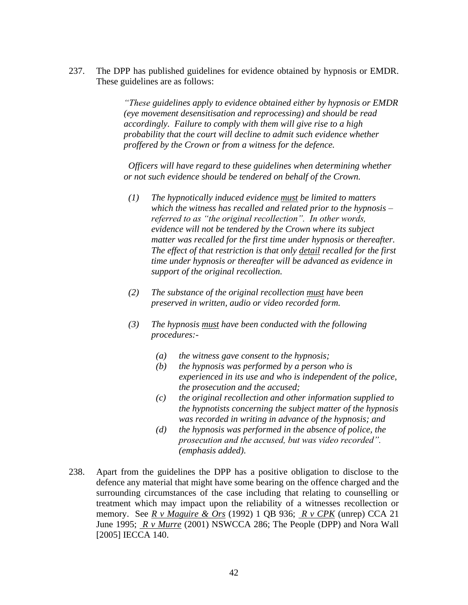237. The DPP has published guidelines for evidence obtained by hypnosis or EMDR. These guidelines are as follows:

> *"These guidelines apply to evidence obtained either by hypnosis or EMDR (eye movement desensitisation and reprocessing) and should be read accordingly. Failure to comply with them will give rise to a high probability that the court will decline to admit such evidence whether proffered by the Crown or from a witness for the defence.*

*Officers will have regard to these guidelines when determining whether or not such evidence should be tendered on behalf of the Crown.*

- *(1) The hypnotically induced evidence must be limited to matters which the witness has recalled and related prior to the hypnosis – referred to as "the original recollection". In other words, evidence will not be tendered by the Crown where its subject matter was recalled for the first time under hypnosis or thereafter. The effect of that restriction is that only detail recalled for the first time under hypnosis or thereafter will be advanced as evidence in support of the original recollection.*
- *(2) The substance of the original recollection must have been preserved in written, audio or video recorded form.*
- *(3) The hypnosis must have been conducted with the following procedures:-*
	- *(a) the witness gave consent to the hypnosis;*
	- *(b) the hypnosis was performed by a person who is experienced in its use and who is independent of the police, the prosecution and the accused;*
	- *(c) the original recollection and other information supplied to the hypnotists concerning the subject matter of the hypnosis was recorded in writing in advance of the hypnosis; and*
	- *(d) the hypnosis was performed in the absence of police, the prosecution and the accused, but was video recorded". (emphasis added)*.
- 238. Apart from the guidelines the DPP has a positive obligation to disclose to the defence any material that might have some bearing on the offence charged and the surrounding circumstances of the case including that relating to counselling or treatment which may impact upon the reliability of a witnesses recollection or memory. See *R v Maguire & Ors* (1992) 1 QB 936; *R v CPK* (unrep) CCA 21 June 1995; *R v Murre* (2001) NSWCCA 286; The People (DPP) and Nora Wall [2005] IECCA 140.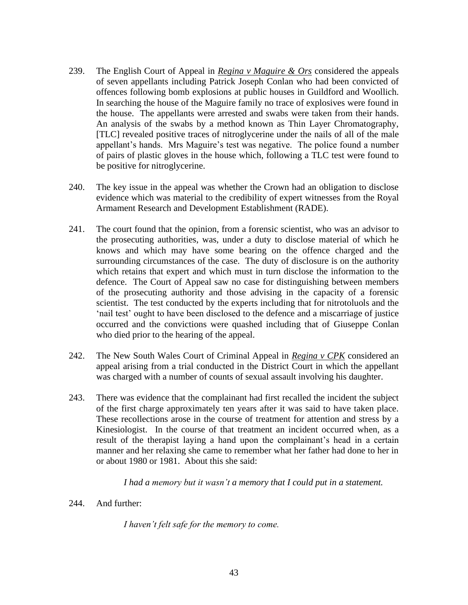- 239. The English Court of Appeal in *Regina v Maguire & Ors* considered the appeals of seven appellants including Patrick Joseph Conlan who had been convicted of offences following bomb explosions at public houses in Guildford and Woollich. In searching the house of the Maguire family no trace of explosives were found in the house. The appellants were arrested and swabs were taken from their hands. An analysis of the swabs by a method known as Thin Layer Chromatography, [TLC] revealed positive traces of nitroglycerine under the nails of all of the male appellant's hands. Mrs Maguire's test was negative. The police found a number of pairs of plastic gloves in the house which, following a TLC test were found to be positive for nitroglycerine.
- 240. The key issue in the appeal was whether the Crown had an obligation to disclose evidence which was material to the credibility of expert witnesses from the Royal Armament Research and Development Establishment (RADE).
- 241. The court found that the opinion, from a forensic scientist, who was an advisor to the prosecuting authorities, was, under a duty to disclose material of which he knows and which may have some bearing on the offence charged and the surrounding circumstances of the case. The duty of disclosure is on the authority which retains that expert and which must in turn disclose the information to the defence. The Court of Appeal saw no case for distinguishing between members of the prosecuting authority and those advising in the capacity of a forensic scientist. The test conducted by the experts including that for nitrotoluols and the 'nail test' ought to have been disclosed to the defence and a miscarriage of justice occurred and the convictions were quashed including that of Giuseppe Conlan who died prior to the hearing of the appeal.
- 242. The New South Wales Court of Criminal Appeal in *Regina v CPK* considered an appeal arising from a trial conducted in the District Court in which the appellant was charged with a number of counts of sexual assault involving his daughter.
- 243. There was evidence that the complainant had first recalled the incident the subject of the first charge approximately ten years after it was said to have taken place. These recollections arose in the course of treatment for attention and stress by a Kinesiologist. In the course of that treatment an incident occurred when, as a result of the therapist laying a hand upon the complainant's head in a certain manner and her relaxing she came to remember what her father had done to her in or about 1980 or 1981. About this she said:

*I had a memory but it wasn't a memory that I could put in a statement.*

244. And further:

*I haven't felt safe for the memory to come.*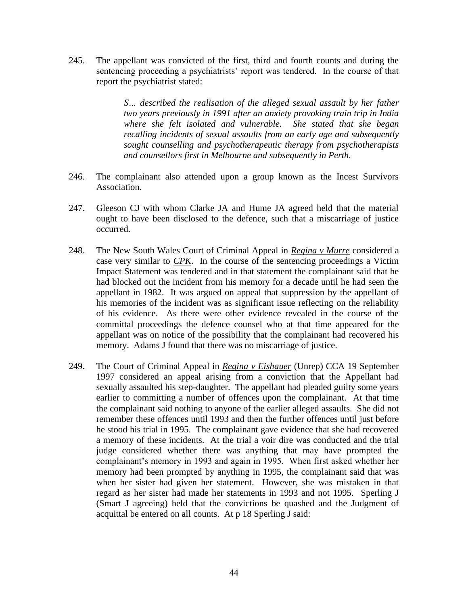245. The appellant was convicted of the first, third and fourth counts and during the sentencing proceeding a psychiatrists' report was tendered. In the course of that report the psychiatrist stated:

> *S… described the realisation of the alleged sexual assault by her father two years previously in 1991 after an anxiety provoking train trip in India where she felt isolated and vulnerable. She stated that she began recalling incidents of sexual assaults from an early age and subsequently sought counselling and psychotherapeutic therapy from psychotherapists and counsellors first in Melbourne and subsequently in Perth.*

- 246. The complainant also attended upon a group known as the Incest Survivors Association.
- 247. Gleeson CJ with whom Clarke JA and Hume JA agreed held that the material ought to have been disclosed to the defence, such that a miscarriage of justice occurred.
- 248. The New South Wales Court of Criminal Appeal in *Regina v Murre* considered a case very similar to *CPK*. In the course of the sentencing proceedings a Victim Impact Statement was tendered and in that statement the complainant said that he had blocked out the incident from his memory for a decade until he had seen the appellant in 1982. It was argued on appeal that suppression by the appellant of his memories of the incident was as significant issue reflecting on the reliability of his evidence. As there were other evidence revealed in the course of the committal proceedings the defence counsel who at that time appeared for the appellant was on notice of the possibility that the complainant had recovered his memory. Adams J found that there was no miscarriage of justice.
- 249. The Court of Criminal Appeal in *Regina v Eishauer* (Unrep) CCA 19 September 1997 considered an appeal arising from a conviction that the Appellant had sexually assaulted his step-daughter. The appellant had pleaded guilty some years earlier to committing a number of offences upon the complainant. At that time the complainant said nothing to anyone of the earlier alleged assaults. She did not remember these offences until 1993 and then the further offences until just before he stood his trial in 1995. The complainant gave evidence that she had recovered a memory of these incidents. At the trial a voir dire was conducted and the trial judge considered whether there was anything that may have prompted the complainant's memory in 1993 and again in 1995. When first asked whether her memory had been prompted by anything in 1995, the complainant said that was when her sister had given her statement. However, she was mistaken in that regard as her sister had made her statements in 1993 and not 1995. Sperling J (Smart J agreeing) held that the convictions be quashed and the Judgment of acquittal be entered on all counts. At p 18 Sperling J said: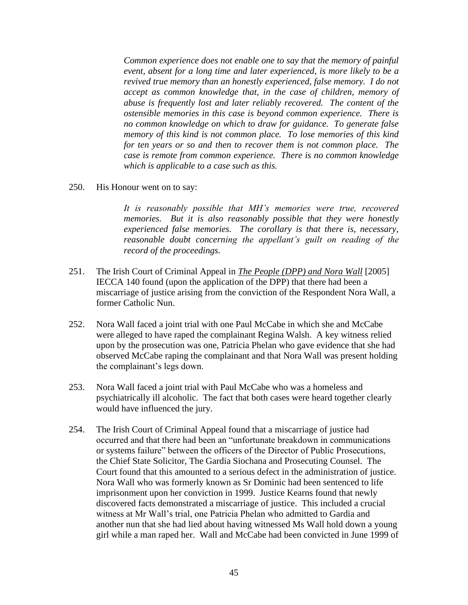*Common experience does not enable one to say that the memory of painful event, absent for a long time and later experienced, is more likely to be a revived true memory than an honestly experienced, false memory. I do not accept as common knowledge that, in the case of children, memory of abuse is frequently lost and later reliably recovered. The content of the ostensible memories in this case is beyond common experience. There is no common knowledge on which to draw for guidance. To generate false memory of this kind is not common place. To lose memories of this kind for ten years or so and then to recover them is not common place. The case is remote from common experience. There is no common knowledge which is applicable to a case such as this.*

250. His Honour went on to say:

*It is reasonably possible that MH's memories were true, recovered memories. But it is also reasonably possible that they were honestly experienced false memories. The corollary is that there is, necessary, reasonable doubt concerning the appellant's guilt on reading of the record of the proceedings.*

- 251. The Irish Court of Criminal Appeal in *The People (DPP) and Nora Wall* [2005] IECCA 140 found (upon the application of the DPP) that there had been a miscarriage of justice arising from the conviction of the Respondent Nora Wall, a former Catholic Nun.
- 252. Nora Wall faced a joint trial with one Paul McCabe in which she and McCabe were alleged to have raped the complainant Regina Walsh. A key witness relied upon by the prosecution was one, Patricia Phelan who gave evidence that she had observed McCabe raping the complainant and that Nora Wall was present holding the complainant's legs down.
- 253. Nora Wall faced a joint trial with Paul McCabe who was a homeless and psychiatrically ill alcoholic. The fact that both cases were heard together clearly would have influenced the jury.
- 254. The Irish Court of Criminal Appeal found that a miscarriage of justice had occurred and that there had been an "unfortunate breakdown in communications or systems failure" between the officers of the Director of Public Prosecutions, the Chief State Solicitor, The Gardia Siochana and Prosecuting Counsel. The Court found that this amounted to a serious defect in the administration of justice. Nora Wall who was formerly known as Sr Dominic had been sentenced to life imprisonment upon her conviction in 1999. Justice Kearns found that newly discovered facts demonstrated a miscarriage of justice. This included a crucial witness at Mr Wall's trial, one Patricia Phelan who admitted to Gardia and another nun that she had lied about having witnessed Ms Wall hold down a young girl while a man raped her. Wall and McCabe had been convicted in June 1999 of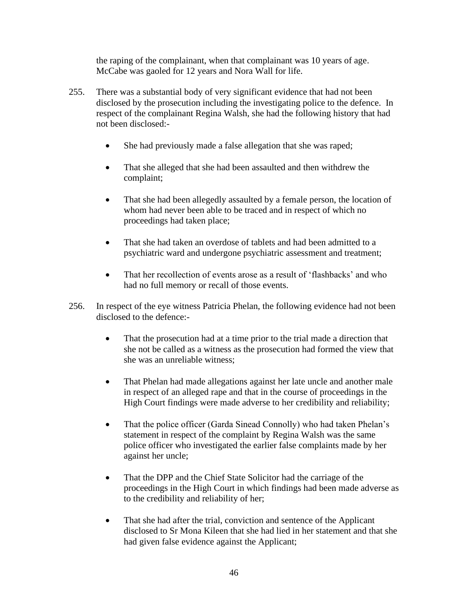the raping of the complainant, when that complainant was 10 years of age. McCabe was gaoled for 12 years and Nora Wall for life.

- 255. There was a substantial body of very significant evidence that had not been disclosed by the prosecution including the investigating police to the defence. In respect of the complainant Regina Walsh, she had the following history that had not been disclosed:-
	- She had previously made a false allegation that she was raped;
	- That she alleged that she had been assaulted and then withdrew the complaint;
	- That she had been allegedly assaulted by a female person, the location of whom had never been able to be traced and in respect of which no proceedings had taken place;
	- That she had taken an overdose of tablets and had been admitted to a psychiatric ward and undergone psychiatric assessment and treatment;
	- That her recollection of events arose as a result of 'flashbacks' and who had no full memory or recall of those events.
- 256. In respect of the eye witness Patricia Phelan, the following evidence had not been disclosed to the defence:-
	- That the prosecution had at a time prior to the trial made a direction that she not be called as a witness as the prosecution had formed the view that she was an unreliable witness;
	- That Phelan had made allegations against her late uncle and another male in respect of an alleged rape and that in the course of proceedings in the High Court findings were made adverse to her credibility and reliability;
	- That the police officer (Garda Sinead Connolly) who had taken Phelan's statement in respect of the complaint by Regina Walsh was the same police officer who investigated the earlier false complaints made by her against her uncle;
	- That the DPP and the Chief State Solicitor had the carriage of the proceedings in the High Court in which findings had been made adverse as to the credibility and reliability of her;
	- That she had after the trial, conviction and sentence of the Applicant disclosed to Sr Mona Kileen that she had lied in her statement and that she had given false evidence against the Applicant;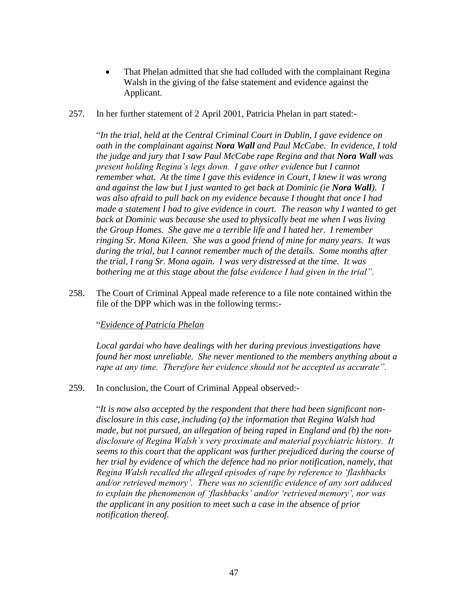- That Phelan admitted that she had colluded with the complainant Regina Walsh in the giving of the false statement and evidence against the Applicant.
- 257. In her further statement of 2 April 2001, Patricia Phelan in part stated:-

"*In the trial, held at the Central Criminal Court in Dublin, I gave evidence on oath in the complainant against Nora Wall and Paul McCabe. In evidence, I told the judge and jury that I saw Paul McCabe rape Regina and that Nora Wall was present holding Regina's legs down. I gave other evidence but I cannot remember what. At the time I gave this evidence in Court, I knew it was wrong and against the law but I just wanted to get back at Dominic (ie Nora Wall). I was also afraid to pull back on my evidence because I thought that once I had made a statement I had to give evidence in court. The reason why I wanted to get back at Dominic was because she used to physically beat me when I was living the Group Homes. She gave me a terrible life and I hated her. I remember ringing Sr. Mona Kileen. She was a good friend of mine for many years. It was during the trial, but I cannot remember much of the details. Some months after the trial, I rang Sr. Mona again. I was very distressed at the time. It was bothering me at this stage about the false evidence I had given in the trial".*

258. The Court of Criminal Appeal made reference to a file note contained within the file of the DPP which was in the following terms:-

#### "*Evidence of Patricia Phelan*

*Local gardai who have dealings with her during previous investigations have found her most unreliable. She never mentioned to the members anything about a rape at any time. Therefore her evidence should not be accepted as accurate".*

#### 259. In conclusion, the Court of Criminal Appeal observed:-

"*It is now also accepted by the respondent that there had been significant nondisclosure in this case, including (a) the information that Regina Walsh had made, but not pursued, an allegation of being raped in England and (b) the nondisclosure of Regina Walsh's very proximate and material psychiatric history. It seems to this court that the applicant was further prejudiced during the course of her trial by evidence of which the defence had no prior notification, namely, that Regina Walsh recalled the alleged episodes of rape by reference to 'flashbacks and/or retrieved memory'. There was no scientific evidence of any sort adduced to explain the phenomenon of 'flashbacks' and/or 'retrieved memory', nor was the applicant in any position to meet such a case in the absence of prior notification thereof.*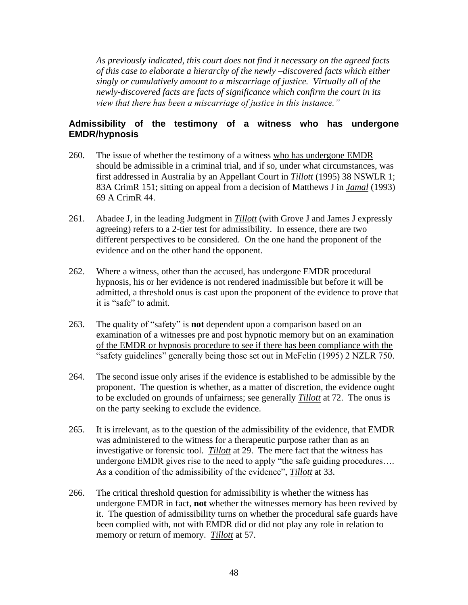*As previously indicated, this court does not find it necessary on the agreed facts of this case to elaborate a hierarchy of the newly –discovered facts which either singly or cumulatively amount to a miscarriage of justice. Virtually all of the newly-discovered facts are facts of significance which confirm the court in its view that there has been a miscarriage of justice in this instance."*

#### **Admissibility of the testimony of a witness who has undergone EMDR/hypnosis**

- 260. The issue of whether the testimony of a witness who has undergone EMDR should be admissible in a criminal trial, and if so, under what circumstances, was first addressed in Australia by an Appellant Court in *Tillott* (1995) 38 NSWLR 1; 83A CrimR 151; sitting on appeal from a decision of Matthews J in *Jamal* (1993) 69 A CrimR 44.
- 261. Abadee J, in the leading Judgment in *Tillott* (with Grove J and James J expressly agreeing) refers to a 2-tier test for admissibility. In essence, there are two different perspectives to be considered. On the one hand the proponent of the evidence and on the other hand the opponent.
- 262. Where a witness, other than the accused, has undergone EMDR procedural hypnosis, his or her evidence is not rendered inadmissible but before it will be admitted, a threshold onus is cast upon the proponent of the evidence to prove that it is "safe" to admit.
- 263. The quality of "safety" is **not** dependent upon a comparison based on an examination of a witnesses pre and post hypnotic memory but on an examination of the EMDR or hypnosis procedure to see if there has been compliance with the "safety guidelines" generally being those set out in McFelin (1995) 2 NZLR 750.
- 264. The second issue only arises if the evidence is established to be admissible by the proponent. The question is whether, as a matter of discretion, the evidence ought to be excluded on grounds of unfairness; see generally *Tillott* at 72. The onus is on the party seeking to exclude the evidence.
- 265. It is irrelevant, as to the question of the admissibility of the evidence, that EMDR was administered to the witness for a therapeutic purpose rather than as an investigative or forensic tool. *Tillott* at 29. The mere fact that the witness has undergone EMDR gives rise to the need to apply "the safe guiding procedures…. As a condition of the admissibility of the evidence", *Tillott* at 33.
- 266. The critical threshold question for admissibility is whether the witness has undergone EMDR in fact, **not** whether the witnesses memory has been revived by it. The question of admissibility turns on whether the procedural safe guards have been complied with, not with EMDR did or did not play any role in relation to memory or return of memory. *Tillott* at 57.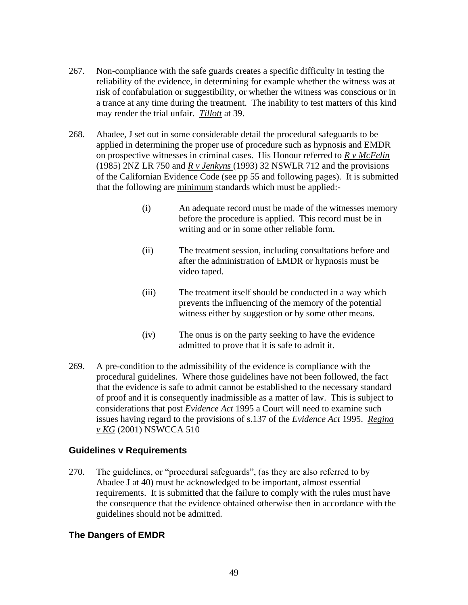- 267. Non-compliance with the safe guards creates a specific difficulty in testing the reliability of the evidence, in determining for example whether the witness was at risk of confabulation or suggestibility, or whether the witness was conscious or in a trance at any time during the treatment. The inability to test matters of this kind may render the trial unfair. *Tillott* at 39.
- 268. Abadee, J set out in some considerable detail the procedural safeguards to be applied in determining the proper use of procedure such as hypnosis and EMDR on prospective witnesses in criminal cases. His Honour referred to *R v McFelin* (1985) 2NZ LR 750 and *R v Jenkyns* (1993) 32 NSWLR 712 and the provisions of the Californian Evidence Code (see pp 55 and following pages). It is submitted that the following are minimum standards which must be applied:-
	- (i) An adequate record must be made of the witnesses memory before the procedure is applied. This record must be in writing and or in some other reliable form.
	- (ii) The treatment session, including consultations before and after the administration of EMDR or hypnosis must be video taped.
	- (iii) The treatment itself should be conducted in a way which prevents the influencing of the memory of the potential witness either by suggestion or by some other means.
	- (iv) The onus is on the party seeking to have the evidence admitted to prove that it is safe to admit it.
- 269. A pre-condition to the admissibility of the evidence is compliance with the procedural guidelines. Where those guidelines have not been followed, the fact that the evidence is safe to admit cannot be established to the necessary standard of proof and it is consequently inadmissible as a matter of law. This is subject to considerations that post *Evidence Act* 1995 a Court will need to examine such issues having regard to the provisions of s.137 of the *Evidence Act* 1995. *Regina v KG* (2001) NSWCCA 510

#### **Guidelines v Requirements**

270. The guidelines, or "procedural safeguards", (as they are also referred to by Abadee J at 40) must be acknowledged to be important, almost essential requirements. It is submitted that the failure to comply with the rules must have the consequence that the evidence obtained otherwise then in accordance with the guidelines should not be admitted.

#### **The Dangers of EMDR**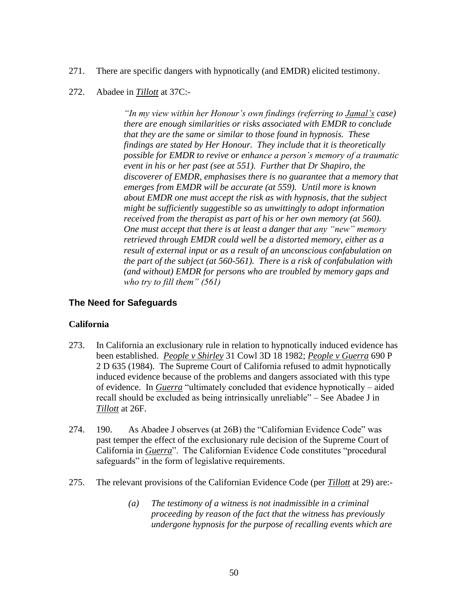- 271. There are specific dangers with hypnotically (and EMDR) elicited testimony.
- 272. Abadee in *Tillott* at 37C:-

*"In my view within her Honour's own findings (referring to Jamal's case) there are enough similarities or risks associated with EMDR to conclude that they are the same or similar to those found in hypnosis. These findings are stated by Her Honour. They include that it is theoretically possible for EMDR to revive or enhance a person's memory of a traumatic event in his or her past (see at 551). Further that Dr Shapiro, the discoverer of EMDR, emphasises there is no guarantee that a memory that emerges from EMDR will be accurate (at 559). Until more is known about EMDR one must accept the risk as with hypnosis, that the subject might be sufficiently suggestible so as unwittingly to adopt information received from the therapist as part of his or her own memory (at 560). One must accept that there is at least a danger that any "new" memory retrieved through EMDR could well be a distorted memory, either as a result of external input or as a result of an unconscious confabulation on the part of the subject (at 560-561). There is a risk of confabulation with (and without) EMDR for persons who are troubled by memory gaps and who try to fill them" (561)*

#### **The Need for Safeguards**

#### **California**

- 273. In California an exclusionary rule in relation to hypnotically induced evidence has been established. *People v Shirley* 31 Cowl 3D 18 1982; *People v Guerra* 690 P 2 D 635 (1984). The Supreme Court of California refused to admit hypnotically induced evidence because of the problems and dangers associated with this type of evidence. In *Guerra* "ultimately concluded that evidence hypnotically – aided recall should be excluded as being intrinsically unreliable" – See Abadee J in *Tillott* at 26F.
- 274. 190. As Abadee J observes (at 26B) the "Californian Evidence Code" was past temper the effect of the exclusionary rule decision of the Supreme Court of California in *Guerra*". The Californian Evidence Code constitutes "procedural safeguards" in the form of legislative requirements.
- 275. The relevant provisions of the Californian Evidence Code (per *Tillott* at 29) are:-
	- *(a) The testimony of a witness is not inadmissible in a criminal proceeding by reason of the fact that the witness has previously undergone hypnosis for the purpose of recalling events which are*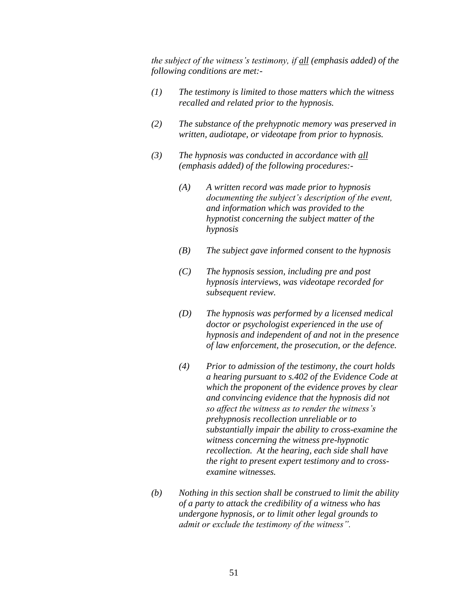*the subject of the witness's testimony, if all (emphasis added) of the following conditions are met:-*

- *(1) The testimony is limited to those matters which the witness recalled and related prior to the hypnosis.*
- *(2) The substance of the prehypnotic memory was preserved in written, audiotape, or videotape from prior to hypnosis.*
- *(3) The hypnosis was conducted in accordance with all (emphasis added) of the following procedures:-*
	- *(A) A written record was made prior to hypnosis documenting the subject's description of the event, and information which was provided to the hypnotist concerning the subject matter of the hypnosis*
	- *(B) The subject gave informed consent to the hypnosis*
	- *(C) The hypnosis session, including pre and post hypnosis interviews, was videotape recorded for subsequent review.*
	- *(D) The hypnosis was performed by a licensed medical doctor or psychologist experienced in the use of hypnosis and independent of and not in the presence of law enforcement, the prosecution, or the defence.*
	- *(4) Prior to admission of the testimony, the court holds a hearing pursuant to s.402 of the Evidence Code at which the proponent of the evidence proves by clear and convincing evidence that the hypnosis did not so affect the witness as to render the witness's prehypnosis recollection unreliable or to substantially impair the ability to cross-examine the witness concerning the witness pre-hypnotic recollection. At the hearing, each side shall have the right to present expert testimony and to crossexamine witnesses.*
- *(b) Nothing in this section shall be construed to limit the ability of a party to attack the credibility of a witness who has undergone hypnosis, or to limit other legal grounds to admit or exclude the testimony of the witness".*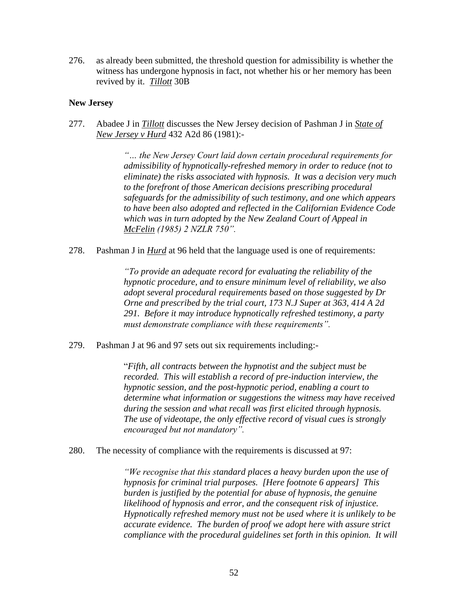276. as already been submitted, the threshold question for admissibility is whether the witness has undergone hypnosis in fact, not whether his or her memory has been revived by it. *Tillott* 30B

#### **New Jersey**

277. Abadee J in *Tillott* discusses the New Jersey decision of Pashman J in *State of New Jersey v Hurd* 432 A2d 86 (1981):-

> *"… the New Jersey Court laid down certain procedural requirements for admissibility of hypnotically-refreshed memory in order to reduce (not to eliminate) the risks associated with hypnosis. It was a decision very much to the forefront of those American decisions prescribing procedural safeguards for the admissibility of such testimony, and one which appears to have been also adopted and reflected in the Californian Evidence Code which was in turn adopted by the New Zealand Court of Appeal in McFelin (1985) 2 NZLR 750".*

278. Pashman J in *Hurd* at 96 held that the language used is one of requirements:

*"To provide an adequate record for evaluating the reliability of the hypnotic procedure, and to ensure minimum level of reliability, we also adopt several procedural requirements based on those suggested by Dr Orne and prescribed by the trial court, 173 N.J Super at 363, 414 A 2d 291. Before it may introduce hypnotically refreshed testimony, a party must demonstrate compliance with these requirements".*

279. Pashman J at 96 and 97 sets out six requirements including:-

"*Fifth, all contracts between the hypnotist and the subject must be recorded. This will establish a record of pre-induction interview, the hypnotic session, and the post-hypnotic period, enabling a court to determine what information or suggestions the witness may have received during the session and what recall was first elicited through hypnosis. The use of videotape, the only effective record of visual cues is strongly encouraged but not mandatory".*

280. The necessity of compliance with the requirements is discussed at 97:

*"We recognise that this standard places a heavy burden upon the use of hypnosis for criminal trial purposes. [Here footnote 6 appears] This burden is justified by the potential for abuse of hypnosis, the genuine likelihood of hypnosis and error, and the consequent risk of injustice. Hypnotically refreshed memory must not be used where it is unlikely to be accurate evidence. The burden of proof we adopt here with assure strict compliance with the procedural guidelines set forth in this opinion. It will*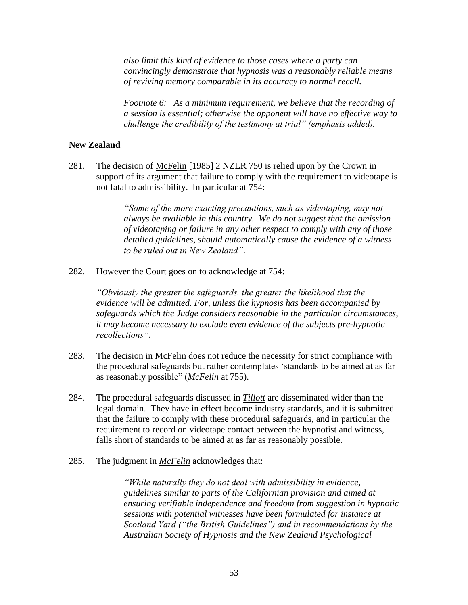*also limit this kind of evidence to those cases where a party can convincingly demonstrate that hypnosis was a reasonably reliable means of reviving memory comparable in its accuracy to normal recall.*

*Footnote 6: As a minimum requirement, we believe that the recording of a session is essential; otherwise the opponent will have no effective way to challenge the credibility of the testimony at trial" (emphasis added).*

#### **New Zealand**

281. The decision of McFelin [1985] 2 NZLR 750 is relied upon by the Crown in support of its argument that failure to comply with the requirement to videotape is not fatal to admissibility. In particular at 754:

> *"Some of the more exacting precautions, such as videotaping, may not always be available in this country. We do not suggest that the omission of videotaping or failure in any other respect to comply with any of those detailed guidelines, should automatically cause the evidence of a witness to be ruled out in New Zealand"*.

282. However the Court goes on to acknowledge at 754:

*"Obviously the greater the safeguards, the greater the likelihood that the evidence will be admitted. For, unless the hypnosis has been accompanied by safeguards which the Judge considers reasonable in the particular circumstances, it may become necessary to exclude even evidence of the subjects pre-hypnotic recollections"*.

- 283. The decision in McFelin does not reduce the necessity for strict compliance with the procedural safeguards but rather contemplates 'standards to be aimed at as far as reasonably possible" (*McFelin* at 755).
- 284. The procedural safeguards discussed in *Tillott* are disseminated wider than the legal domain. They have in effect become industry standards, and it is submitted that the failure to comply with these procedural safeguards, and in particular the requirement to record on videotape contact between the hypnotist and witness, falls short of standards to be aimed at as far as reasonably possible.
- 285. The judgment in *McFelin* acknowledges that:

*"While naturally they do not deal with admissibility in evidence, guidelines similar to parts of the Californian provision and aimed at ensuring verifiable independence and freedom from suggestion in hypnotic sessions with potential witnesses have been formulated for instance at Scotland Yard ("the British Guidelines") and in recommendations by the Australian Society of Hypnosis and the New Zealand Psychological*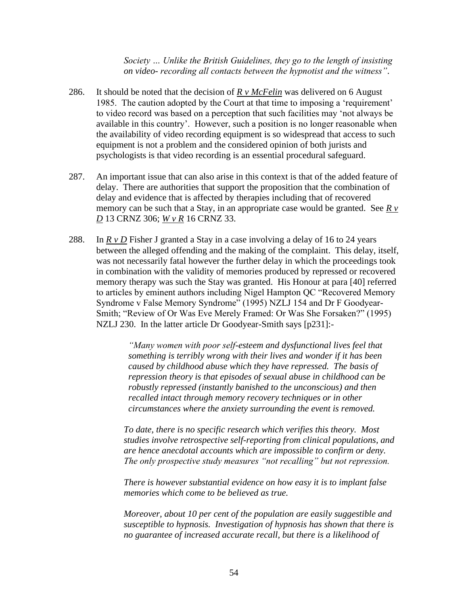*Society … Unlike the British Guidelines, they go to the length of insisting on video- recording all contacts between the hypnotist and the witness"*.

- 286. It should be noted that the decision of *R v McFelin* was delivered on 6 August 1985. The caution adopted by the Court at that time to imposing a 'requirement' to video record was based on a perception that such facilities may 'not always be available in this country'. However, such a position is no longer reasonable when the availability of video recording equipment is so widespread that access to such equipment is not a problem and the considered opinion of both jurists and psychologists is that video recording is an essential procedural safeguard.
- 287. An important issue that can also arise in this context is that of the added feature of delay. There are authorities that support the proposition that the combination of delay and evidence that is affected by therapies including that of recovered memory can be such that a Stay, in an appropriate case would be granted. See  $R v$ *D* 13 CRNZ 306; *W v R* 16 CRNZ 33.
- 288. In  $R \vee D$  Fisher J granted a Stay in a case involving a delay of 16 to 24 years between the alleged offending and the making of the complaint. This delay, itself, was not necessarily fatal however the further delay in which the proceedings took in combination with the validity of memories produced by repressed or recovered memory therapy was such the Stay was granted. His Honour at para [40] referred to articles by eminent authors including Nigel Hampton QC "Recovered Memory Syndrome v False Memory Syndrome" (1995) NZLJ 154 and Dr F Goodyear-Smith; "Review of Or Was Eve Merely Framed: Or Was She Forsaken?" (1995) NZLJ 230. In the latter article Dr Goodyear-Smith says [p231]:-

*"Many women with poor self-esteem and dysfunctional lives feel that something is terribly wrong with their lives and wonder if it has been caused by childhood abuse which they have repressed. The basis of repression theory is that episodes of sexual abuse in childhood can be robustly repressed (instantly banished to the unconscious) and then recalled intact through memory recovery techniques or in other circumstances where the anxiety surrounding the event is removed.*

*To date, there is no specific research which verifies this theory. Most studies involve retrospective self-reporting from clinical populations, and are hence anecdotal accounts which are impossible to confirm or deny. The only prospective study measures "not recalling" but not repression.*

*There is however substantial evidence on how easy it is to implant false memories which come to be believed as true.*

*Moreover, about 10 per cent of the population are easily suggestible and susceptible to hypnosis. Investigation of hypnosis has shown that there is no guarantee of increased accurate recall, but there is a likelihood of*